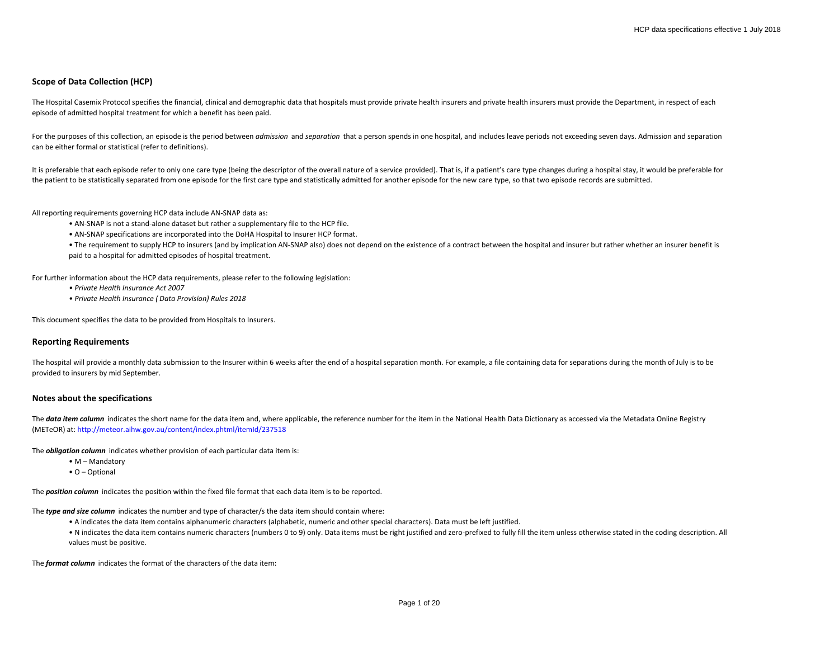## **Scope of Data Collection (HCP)**

The Hospital Casemix Protocol specifies the financial, clinical and demographic data that hospitals must provide private health insurers and private health insurers must provide the Department, in respect of each episode of admitted hospital treatment for which a benefit has been paid.

For the purposes of this collection, an episode is the period between *admission* and *separation* that a person spends in one hospital, and includes leave periods not exceeding seven days. Admission and separation can be either formal or statistical (refer to definitions).

It is preferable that each episode refer to only one care type (being the descriptor of the overall nature of a service provided). That is, if a patient's care type changes during a hospital stay, it would be preferable fo the patient to be statistically separated from one episode for the first care type and statistically admitted for another episode for the new care type, so that two episode records are submitted.

All reporting requirements governing HCP data include AN-SNAP data as:

- AN-SNAP is not a stand-alone dataset but rather a supplementary file to the HCP file.
- AN-SNAP specifications are incorporated into the DoHA Hospital to Insurer HCP format.

• The requirement to supply HCP to insurers (and by implication AN-SNAP also) does not depend on the existence of a contract between the hospital and insurer but rather whether an insurer benefit is paid to a hospital for admitted episodes of hospital treatment.

For further information about the HCP data requirements, please refer to the following legislation:

- *Private Health Insurance Act 2007*
- *Private Health Insurance ( Data Provision) Rules 2018*

This document specifies the data to be provided from Hospitals to Insurers.

## **Reporting Requirements**

The hospital will provide a monthly data submission to the Insurer within 6 weeks after the end of a hospital separation month. For example, a file containing data for separations during the month of July is to be provided to insurers by mid September.

#### **Notes about the specifications**

The data item column indicates the short name for the data item and, where applicable, the reference number for the item in the National Health Data Dictionary as accessed via the Metadata Online Registry (METeOR) at: http://meteor.aihw.gov.au/content/index.phtml/itemId/237518

The *obligation column* indicates whether provision of each particular data item is:

- M Mandatory
- O Optional

The *position column* indicates the position within the fixed file format that each data item is to be reported.

The *type and size column* indicates the number and type of character/s the data item should contain where:

- A indicates the data item contains alphanumeric characters (alphabetic, numeric and other special characters). Data must be left justified.
- N indicates the data item contains numeric characters (numbers 0 to 9) only. Data items must be right justified and zero-prefixed to fully fill the item unless otherwise stated in the coding description. All values must be positive.

The *format column* indicates the format of the characters of the data item: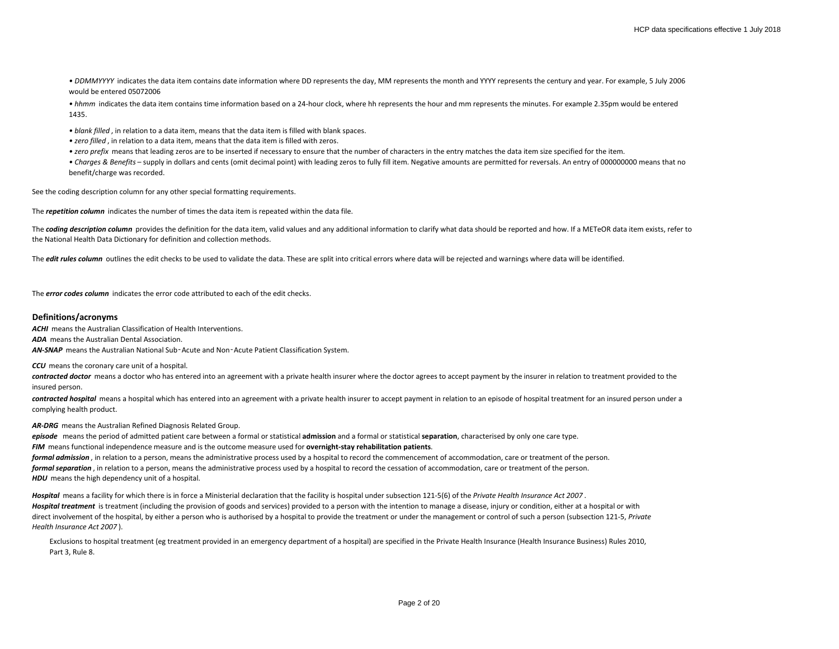*• DDMMYYYY* indicates the data item contains date information where DD represents the day, MM represents the month and YYYY represents the century and year. For example, 5 July 2006 would be entered 05072006

*• hhmm* indicates the data item contains time information based on a 24-hour clock, where hh represents the hour and mm represents the minutes. For example 2.35pm would be entered 1435.

*• blank filled* , in relation to a data item, means that the data item is filled with blank spaces.

*• zero filled* , in relation to a data item, means that the data item is filled with zeros.

*• zero prefix* means that leading zeros are to be inserted if necessary to ensure that the number of characters in the entry matches the data item size specified for the item.

*• Charges & Benefits* – supply in dollars and cents (omit decimal point) with leading zeros to fully fill item. Negative amounts are permitted for reversals. An entry of 000000000 means that no benefit/charge was recorded.

See the coding description column for any other special formatting requirements.

The *repetition column* indicates the number of times the data item is repeated within the data file.

The **coding description column** provides the definition for the data item, valid values and any additional information to clarify what data should be reported and how. If a METeOR data item exists, refer to the National Health Data Dictionary for definition and collection methods.

The **edit rules column** outlines the edit checks to be used to validate the data. These are split into critical errors where data will be rejected and warnings where data will be identified.

The *error codes column* indicates the error code attributed to each of the edit checks.

## **Definitions/acronyms**

**ACHI** means the Australian Classification of Health Interventions.

*ADA* means the Australian Dental Association.

*AN-SNAP* means the Australian National Sub‑Acute and Non‑Acute Patient Classification System.

**CCU** means the coronary care unit of a hospital.

contracted doctor means a doctor who has entered into an agreement with a private health insurer where the doctor agrees to accept payment by the insurer in relation to treatment provided to the insured person.

contracted hospital means a hospital which has entered into an agreement with a private health insurer to accept payment in relation to an episode of hospital treatment for an insured person under a complying health product.

*AR-DRG* means the Australian Refined Diagnosis Related Group.

*episode* means the period of admitted patient care between a formal or statistical **admission** and a formal or statistical **separation**, characterised by only one care type. *FIM* means functional independence measure and is the outcome measure used for **overnight-stay rehabilitation patients**. *formal admission* , in relation to a person, means the administrative process used by a hospital to record the commencement of accommodation, care or treatment of the person. *formal separation* , in relation to a person, means the administrative process used by a hospital to record the cessation of accommodation, care or treatment of the person. *HDU* means the high dependency unit of a hospital.

*Hospital* means a facility for which there is in force a Ministerial declaration that the facility is hospital under subsection 121-5(6) of the *Private Health Insurance Act 2007* . Hospital treatment is treatment (including the provision of goods and services) provided to a person with the intention to manage a disease, injury or condition, either at a hospital or with direct involvement of the hospital, by either a person who is authorised by a hospital to provide the treatment or under the management or control of such a person (subsection 121-5, *Private Health Insurance Act 2007* ).

Exclusions to hospital treatment (eg treatment provided in an emergency department of a hospital) are specified in the Private Health Insurance (Health Insurance Business) Rules 2010, Part 3, Rule 8.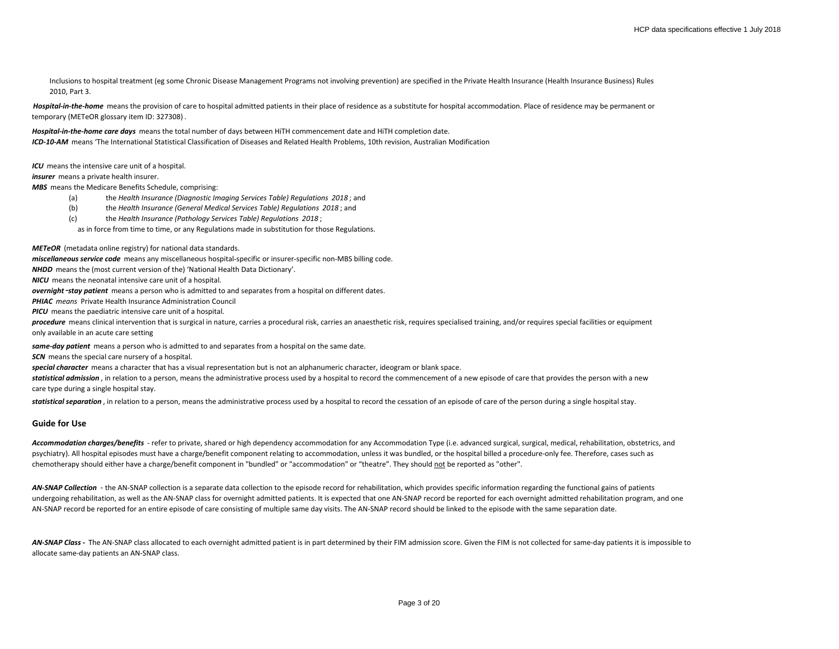Inclusions to hospital treatment (eg some Chronic Disease Management Programs not involving prevention) are specified in the Private Health Insurance (Health Insurance Business) Rules 2010, Part 3.

Hospital-in-the-home means the provision of care to hospital admitted patients in their place of residence as a substitute for hospital accommodation. Place of residence may be permanent or temporary (METeOR glossary item ID: 327308) .

*Hospital-in-the-home care days* means the total number of days between HiTH commencement date and HiTH completion date. *ICD-10-AM* means 'The International Statistical Classification of Diseases and Related Health Problems, 10th revision, Australian Modification

*ICU* means the intensive care unit of a hospital.

*insurer* means a private health insurer.

*MBS* means the Medicare Benefits Schedule, comprising:

- (a) the *Health Insurance (Diagnostic Imaging Services Table) Regulations 2018* ; and
- (b) the *Health Insurance (General Medical Services Table) Regulations 2018* ; and
- (c) the *Health Insurance (Pathology Services Table) Regulations 2018* ;

as in force from time to time, or any Regulations made in substitution for those Regulations.

*METeOR* (metadata online registry) for national data standards.

*miscellaneous service code* means any miscellaneous hospital-specific or insurer-specific non-MBS billing code.

*NHDD* means the (most current version of the) 'National Health Data Dictionary'.

*NICU* means the neonatal intensive care unit of a hospital.

*overnight*‑*stay patient* means a person who is admitted to and separates from a hospital on different dates.

*PHIAC means* Private Health Insurance Administration Council

**PICU** means the paediatric intensive care unit of a hospital.

procedure means clinical intervention that is surgical in nature, carries a procedural risk, carries an anaesthetic risk, requires specialised training, and/or requires special facilities or equipment only available in an acute care setting

*same-day patient* means a person who is admitted to and separates from a hospital on the same date.

*SCN* means the special care nursery of a hospital.

*special character* means a character that has a visual representation but is not an alphanumeric character, ideogram or blank space.

statistical admission, in relation to a person, means the administrative process used by a hospital to record the commencement of a new episode of care that provides the person with a new care type during a single hospital stay.

statistical separation, in relation to a person, means the administrative process used by a hospital to record the cessation of an episode of care of the person during a single hospital stay.

## **Guide for Use**

Accommodation charges/benefits - refer to private, shared or high dependency accommodation for any Accommodation Type (i.e. advanced surgical, surgical, medical, rehabilitation, obstetrics, and psychiatry). All hospital episodes must have a charge/benefit component relating to accommodation, unless it was bundled, or the hospital billed a procedure-only fee. Therefore, cases such as chemotherapy should either have a charge/benefit component in "bundled" or "accommodation" or "theatre". They should not be reported as "other".

AN-SNAP Collection - the AN-SNAP collection is a separate data collection to the episode record for rehabilitation, which provides specific information regarding the functional gains of patients undergoing rehabilitation, as well as the AN-SNAP class for overnight admitted patients. It is expected that one AN-SNAP record be reported for each overnight admitted rehabilitation program, and one AN-SNAP record be reported for an entire episode of care consisting of multiple same day visits. The AN-SNAP record should be linked to the episode with the same separation date.

AN-SNAP Class - The AN-SNAP class allocated to each overnight admitted patient is in part determined by their FIM admission score. Given the FIM is not collected for same-day patients it is impossible to allocate same-day patients an AN-SNAP class.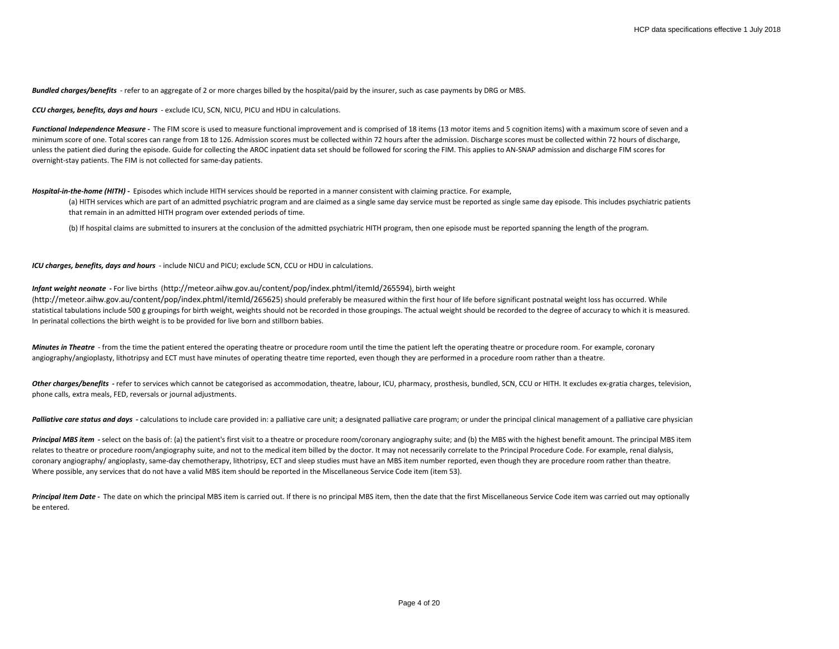*Bundled charges/benefits* - refer to an aggregate of 2 or more charges billed by the hospital/paid by the insurer, such as case payments by DRG or MBS.

*CCU charges, benefits, days and hours* - exclude ICU, SCN, NICU, PICU and HDU in calculations.

Functional Independence Measure - The FIM score is used to measure functional improvement and is comprised of 18 items (13 motor items and 5 cognition items) with a maximum score of seven and a minimum score of one. Total scores can range from 18 to 126. Admission scores must be collected within 72 hours after the admission. Discharge scores must be collected within 72 hours of discharge, unless the patient died during the episode. Guide for collecting the AROC inpatient data set should be followed for scoring the FIM. This applies to AN-SNAP admission and discharge FIM scores for overnight-stay patients. The FIM is not collected for same-day patients.

#### *Hospital-in-the-home (HITH) -* Episodes which include HITH services should be reported in a manner consistent with claiming practice. For example,

(a) HITH services which are part of an admitted psychiatric program and are claimed as a single same day service must be reported as single same day episode. This includes psychiatric patients that remain in an admitted HITH program over extended periods of time.

(b) If hospital claims are submitted to insurers at the conclusion of the admitted psychiatric HITH program, then one episode must be reported spanning the length of the program.

*ICU charges, benefits, days and hours* - include NICU and PICU; exclude SCN, CCU or HDU in calculations.

#### *Infant weight neonate* **-** For live births (http://meteor.aihw.gov.au/content/pop/index.phtml/itemId/265594), birth weight

(http://meteor.aihw.gov.au/content/pop/index.phtml/itemId/265625) should preferably be measured within the first hour of life before significant postnatal weight loss has occurred. While statistical tabulations include 500 g groupings for birth weight, weights should not be recorded in those groupings. The actual weight should be recorded to the degree of accuracy to which it is measured. In perinatal collections the birth weight is to be provided for live born and stillborn babies.

*Minutes in Theatre* - from the time the patient entered the operating theatre or procedure room until the time the patient left the operating theatre or procedure room. For example, coronary angiography/angioplasty, lithotripsy and ECT must have minutes of operating theatre time reported, even though they are performed in a procedure room rather than a theatre.

Other charges/benefits - refer to services which cannot be categorised as accommodation, theatre, labour, ICU, pharmacy, prosthesis, bundled, SCN, CCU or HITH. It excludes ex-gratia charges, television, phone calls, extra meals, FED, reversals or journal adjustments.

Palliative care status and days - calculations to include care provided in: a palliative care unit: a designated palliative care program: or under the principal clinical management of a palliative care physician

**Principal MBS item** - select on the basis of: (a) the patient's first visit to a theatre or procedure room/coronary angiography suite; and (b) the MBS with the highest benefit amount. The principal MBS item relates to theatre or procedure room/angiography suite, and not to the medical item billed by the doctor. It may not necessarily correlate to the Principal Procedure Code. For example, renal dialysis, coronary angiography/angioplasty, same-day chemotherapy, lithotripsy, ECT and sleep studies must have an MBS item number reported, even though they are procedure room rather than theatre. Where possible, any services that do not have a valid MBS item should be reported in the Miscellaneous Service Code item (item 53).

Principal Item Date - The date on which the principal MBS item is carried out. If there is no principal MBS item, then the date that the first Miscellaneous Service Code item was carried out may optionally be entered.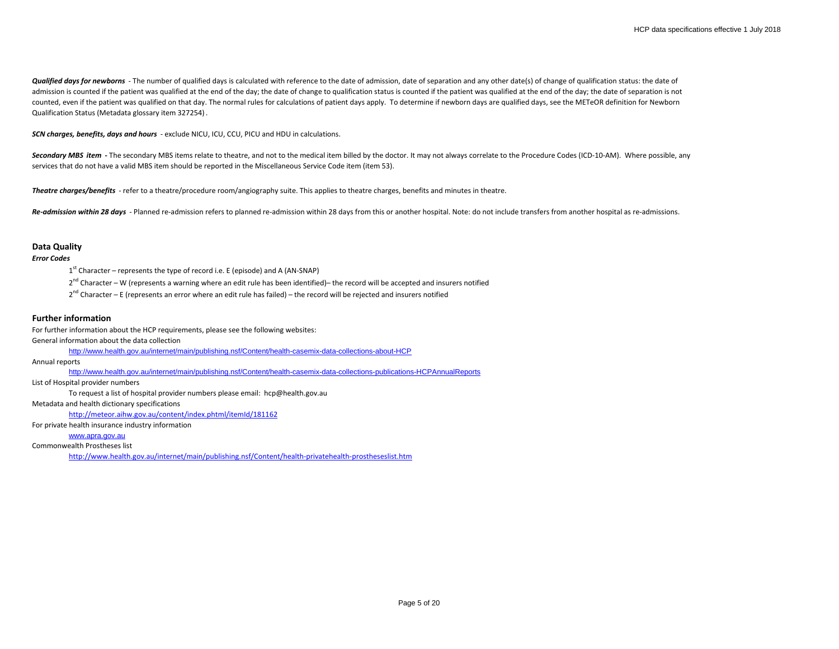Qualified days for newborns - The number of qualified days is calculated with reference to the date of admission, date of separation and any other date(s) of change of qualification status: the date of admission is counted if the patient was qualified at the end of the day; the date of change to qualification status is counted if the patient was qualified at the end of the day; the date of separation is not counted, even if the patient was qualified on that day. The normal rules for calculations of patient days apply. To determine if newborn days are qualified days, see the METeOR definition for Newborn Qualification Status (Metadata glossary item 327254) .

*SCN charges, benefits, days and hours* - exclude NICU, ICU, CCU, PICU and HDU in calculations.

Secondary MBS item - The secondary MBS items relate to theatre, and not to the medical item billed by the doctor. It may not always correlate to the Procedure Codes (ICD-10-AM). Where possible, any services that do not have a valid MBS item should be reported in the Miscellaneous Service Code item (item 53).

*Theatre charges/benefits* - refer to a theatre/procedure room/angiography suite. This applies to theatre charges, benefits and minutes in theatre.

Re-admission within 28 days - Planned re-admission refers to planned re-admission within 28 days from this or another hospital. Note: do not include transfers from another hospital as re-admissions.

## **Data Quality**

# *Error Codes*

 $1<sup>st</sup>$  Character – represents the type of record i.e. E (episode) and A (AN-SNAP)

 $2^{nd}$  Character – W (represents a warning where an edit rule has been identified)– the record will be accepted and insurers notified

 $2^{nd}$  Character – E (represents an error where an edit rule has failed) – the record will be rejected and insurers notified

## **Further information**

For further information about the HCP requirements, please see the following websites:

General information about the data collection

<http://www.health.gov.au/internet/main/publishing.nsf/Content/health-casemix-data-collections-about-HCP>

Annual reports

<http://www.health.gov.au/internet/main/publishing.nsf/Content/health-casemix-data-collections-publications-HCPAnnualReports>

List of Hospital provider numbers

To request a list of hospital provider numbers please email: hcp@health.gov.au

Metadata and health dictionary specifications

<http://meteor.aihw.gov.au/content/index.phtml/itemId/181162>

For private health insurance industry information

### [www.apra.gov.au](http://www.apra.gov.au/)

Commonwealth Prostheses list

<http://www.health.gov.au/internet/main/publishing.nsf/Content/health-privatehealth-prostheseslist.htm>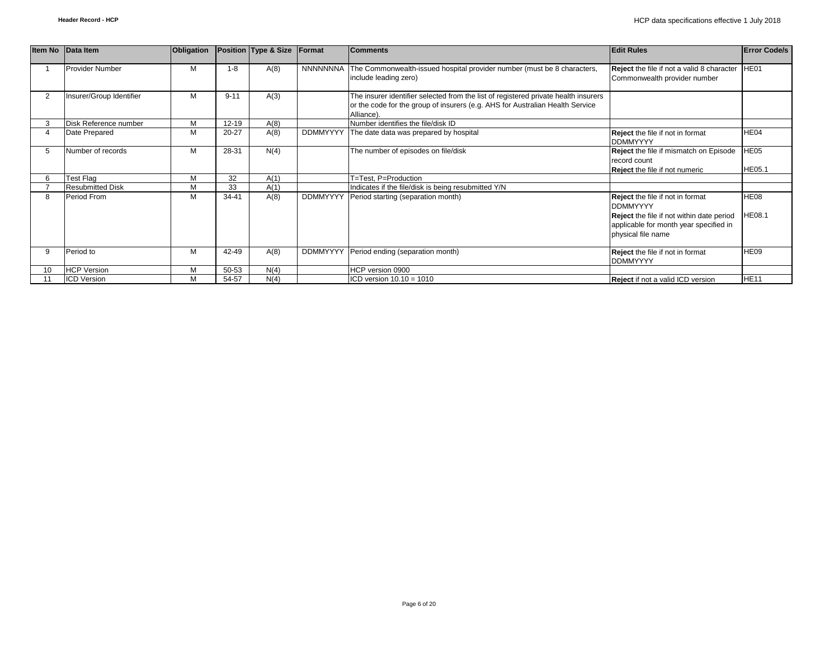|                | Item No Data Item        | Obligation |           | Position Type & Size | Format          | <b>Comments</b>                                                                                                                                                                    | <b>Edit Rules</b>                                                                                                                                                       | <b>Error Code/s</b> |
|----------------|--------------------------|------------|-----------|----------------------|-----------------|------------------------------------------------------------------------------------------------------------------------------------------------------------------------------------|-------------------------------------------------------------------------------------------------------------------------------------------------------------------------|---------------------|
|                | <b>Provider Number</b>   | M          | $1 - 8$   | A(8)                 |                 | NNNNNNNA The Commonwealth-issued hospital provider number (must be 8 characters,<br>include leading zero)                                                                          | <b>Reject</b> the file if not a valid 8 character<br>Commonwealth provider number                                                                                       | HE01                |
| $\overline{2}$ | Insurer/Group Identifier | М          | $9 - 11$  | A(3)                 |                 | The insurer identifier selected from the list of registered private health insurers<br>or the code for the group of insurers (e.g. AHS for Australian Health Service<br>Alliance). |                                                                                                                                                                         |                     |
|                | Disk Reference number    | M          | 12-19     | A(8)                 |                 | Number identifies the file/disk ID                                                                                                                                                 |                                                                                                                                                                         |                     |
|                | Date Prepared            | M          | $20 - 27$ | A(8)                 |                 | DDMMYYYY The date data was prepared by hospital                                                                                                                                    | Reject the file if not in format<br><b>DDMMYYYY</b>                                                                                                                     | HE04                |
|                | Number of records        | М          | 28-31     | N(4)                 |                 | The number of episodes on file/disk                                                                                                                                                | Reject the file if mismatch on Episode<br>record count<br><b>Reject</b> the file if not numeric                                                                         | H E05<br>HE05.1     |
|                | Test Flag                | M          | 32        | A(1)                 |                 | T=Test. P=Production                                                                                                                                                               |                                                                                                                                                                         |                     |
|                | <b>Resubmitted Disk</b>  | M          | 33        | A(1)                 |                 | Indicates if the file/disk is being resubmitted Y/N                                                                                                                                |                                                                                                                                                                         |                     |
| 8              | Period From              | M          | 34-41     | A(8)                 | <b>DDMMYYYY</b> | Period starting (separation month)                                                                                                                                                 | <b>Reject</b> the file if not in format<br><b>DDMMYYYY</b><br>Reject the file if not within date period<br>applicable for month year specified in<br>physical file name | HE08<br>HE08.1      |
|                | Period to                | M          | 42-49     | A(8)                 | <b>DDMMYYYY</b> | Period ending (separation month)                                                                                                                                                   | <b>Reject</b> the file if not in format<br><b>DDMMYYYY</b>                                                                                                              | <b>HE09</b>         |
| 10             | <b>HCP Version</b>       | М          | 50-53     | N(4)                 |                 | HCP version 0900                                                                                                                                                                   |                                                                                                                                                                         |                     |
|                | <b>ICD Version</b>       | М          | 54-57     | N(4)                 |                 | $ICD$ version $10.10 = 1010$                                                                                                                                                       | Reject if not a valid ICD version                                                                                                                                       | <b>HE11</b>         |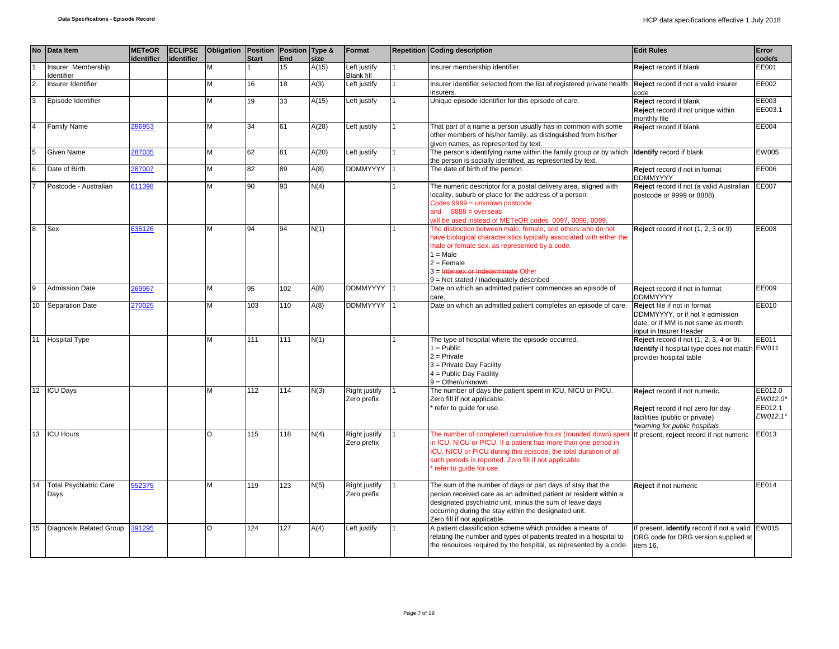|    | No Data Item                          | <b>METeOR</b><br>identifier | <b>ECLIPSE</b><br>identifier | Obligation Position Position Type & | <b>Start</b> | End | size  | Format                              | <b>Repetition Coding description</b>                                                                                                                                                                                                                                                                   | <b>Edit Rules</b>                                                                                                                     | Error<br>code/s                            |
|----|---------------------------------------|-----------------------------|------------------------------|-------------------------------------|--------------|-----|-------|-------------------------------------|--------------------------------------------------------------------------------------------------------------------------------------------------------------------------------------------------------------------------------------------------------------------------------------------------------|---------------------------------------------------------------------------------------------------------------------------------------|--------------------------------------------|
|    | Insurer Membership<br>Identifier      |                             |                              | M                                   |              | 15  | A(15) | Left justify<br><b>Blank fill</b>   | Insurer membership identifier.                                                                                                                                                                                                                                                                         | Reject record if blank                                                                                                                | EE001                                      |
|    | Insurer Identifier                    |                             |                              | М                                   | 16           | 18  | A(3)  | Left justify                        | Insurer identifier selected from the list of registered private health <b>Reject</b> record if not a valid insurer<br>insurers.                                                                                                                                                                        | code                                                                                                                                  | EE002                                      |
| 3  | Episode Identifier                    |                             |                              | M                                   | 19           | 33  | A(15) | Left justify                        | Unique episode identifier for this episode of care.                                                                                                                                                                                                                                                    | Reject record if blank<br>Reject record if not unique within<br>monthly file                                                          | EE003<br>EE003.1                           |
|    | <b>Family Name</b>                    | 286953                      |                              | M                                   | 34           | 61  | A(28) | Left justify                        | That part of a name a person usually has in common with some<br>other members of his/her family, as distinguished from his/her<br>given names, as represented by text.                                                                                                                                 | Reject record if blank                                                                                                                | EE004                                      |
|    | Given Name                            | 287035                      |                              | M                                   | 62           | 81  | A(20) | Left justify                        | The person's identifying name within the family group or by which lidentify record if blank<br>the person is socially identified, as represented by text.                                                                                                                                              |                                                                                                                                       | EW005                                      |
|    | Date of Birth                         | 287007                      |                              | м                                   | 82           | 89  | A(8)  | <b>DDMMYYYY</b>                     | The date of birth of the person.                                                                                                                                                                                                                                                                       | Reject record if not in format<br><b>DDMMYYYY</b>                                                                                     | EE006                                      |
|    | Postcode - Australian                 | 611398                      |                              | M                                   | 90           | 93  | N(4)  |                                     | The numeric descriptor for a postal delivery area, aligned with<br>locality, suburb or place for the address of a person.<br>Codes 9999 = unknown postcode<br>and $8888 = 0$ verseas<br>will be used instead of METeOR codes 0097, 0098, 0099                                                          | Reject record if not (a valid Australian EE007<br>postcode or 9999 or 8888)                                                           |                                            |
|    | Sex                                   | 635126                      |                              | M                                   | 94           | 94  | N(1)  |                                     | The distinction between male, female, and others who do not<br>have biological characteristics typically associated with either the<br>male or female sex, as represented by a code.<br>$1 = Male$<br>$2 =$ Female<br>3 = Intersex or Indeterminate Other<br>$9 = Not stated / inadequately described$ | Reject record if not (1, 2, 3 or 9)                                                                                                   | EE008                                      |
|    | <b>Admission Date</b>                 | 269967                      |                              | М                                   | 95           | 102 | A(8)  | <b>DDMMYYYY</b>                     | Date on which an admitted patient commences an episode of<br>care.                                                                                                                                                                                                                                     | Reject record if not in format<br><b>DDMMYYYY</b>                                                                                     | EE009                                      |
| 10 | <b>Separation Date</b>                | 270025                      |                              | M                                   | 103          | 110 | A(8)  | DDMMYYYY                            | Date on which an admitted patient completes an episode of care.                                                                                                                                                                                                                                        | Reject file if not in format<br>DDMMYYYY, or if not ≥ admission<br>date, or if MM is not same as month<br>input in Insurer Header     | EE010                                      |
| 11 | <b>Hospital Type</b>                  |                             |                              | M                                   | 111          | 111 | N(1)  |                                     | The type of hospital where the episode occurred.<br>$1 = Public$<br>$2 =$ Private<br>3 = Private Day Facility<br>4 = Public Day Facility<br>$9 = Other/unknown$                                                                                                                                        | <b>Reject</b> record if not (1, 2, 3, 4 or 9).<br>Identify if hospital type does not match EW011<br>provider hospital table           | EE011                                      |
|    | 12 ICU Days                           |                             |                              | M                                   | 112          | 114 | N(3)  | Right justify<br>Zero prefix        | The number of days the patient spent in ICU, NICU or PICU.<br>Zero fill if not applicable.<br>refer to guide for use.                                                                                                                                                                                  | Reject record if not numeric.<br>Reject record if not zero for day<br>facilities (public or private)<br>*warning for public hospitals | EE012.0<br>EW012.0*<br>EE012.1<br>EW012.1* |
| 13 | <b>ICU Hours</b>                      |                             |                              | O                                   | 115          | 118 | N(4)  | <b>Right justify</b><br>Zero prefix | The number of completed cumulative hours (rounded down) spen<br>in ICU, NICU or PICU. If a patient has more than one period in<br>ICU, NICU or PICU during this episode, the total duration of all<br>such periods is reported. Zero fill if not applicable<br>refer to guide for use.                 | If present, reject record if not numeric                                                                                              | EE013                                      |
| 14 | <b>Total Psychiatric Care</b><br>Days | 552375                      |                              | M                                   | 119          | 123 | N(5)  | Right justify<br>Zero prefix        | The sum of the number of days or part days of stay that the<br>person received care as an admitted patient or resident within a<br>designated psychiatric unit, minus the sum of leave days<br>occurring during the stay within the designated unit.<br>Zero fill if not applicable.                   | Reject if not numeric                                                                                                                 | EE014                                      |
| 15 | Diagnosis Related Group               | 391295                      |                              | O                                   | 124          | 127 | A(4)  | Left justify                        | A patient classification scheme which provides a means of<br>relating the number and types of patients treated in a hospital to<br>the resources required by the hospital, as represented by a code.                                                                                                   | f present, <i>identify</i> record if not a valid<br>DRG code for DRG version supplied at<br>item 16.                                  | EW015                                      |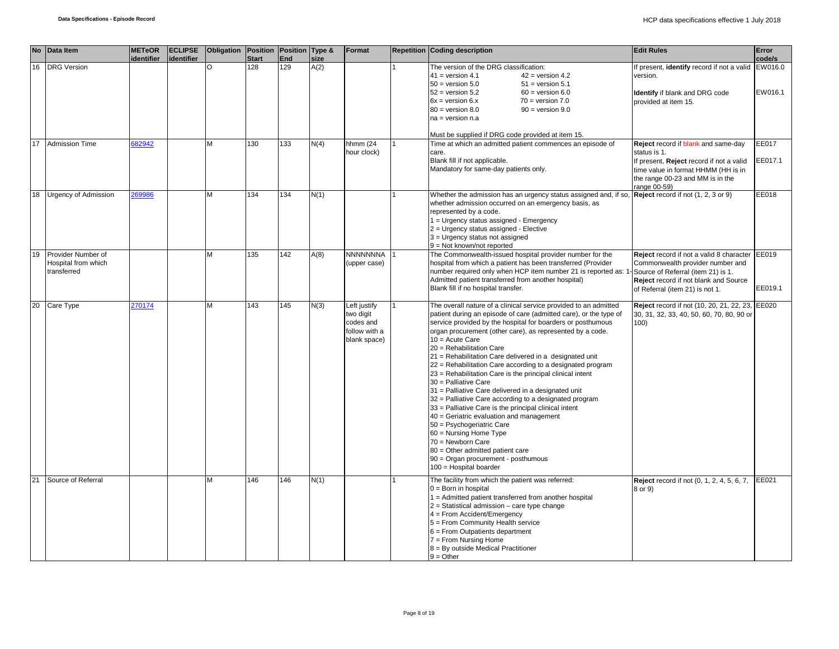|                 | No Data Item                                             | <b>METeOR</b><br>identifier | <b>ECLIPSE</b><br>identifier | Obligation Position Position Type & | <b>Start</b> | End | size | Format                                                                  | <b>Repetition Coding description</b>                                                                                                                                                                                                                                                                                                                                                                                                                                                                                                                                                                                                                                                                                                                                                                                                                                                                                                    | <b>Edit Rules</b>                                                                                                                                                                          | Error<br>code/s  |
|-----------------|----------------------------------------------------------|-----------------------------|------------------------------|-------------------------------------|--------------|-----|------|-------------------------------------------------------------------------|-----------------------------------------------------------------------------------------------------------------------------------------------------------------------------------------------------------------------------------------------------------------------------------------------------------------------------------------------------------------------------------------------------------------------------------------------------------------------------------------------------------------------------------------------------------------------------------------------------------------------------------------------------------------------------------------------------------------------------------------------------------------------------------------------------------------------------------------------------------------------------------------------------------------------------------------|--------------------------------------------------------------------------------------------------------------------------------------------------------------------------------------------|------------------|
| 16              | <b>DRG</b> Version                                       |                             |                              | O                                   | 128          | 129 | A(2) |                                                                         | The version of the DRG classification:<br>$41 = version 4.1$<br>$42$ = version 4.2<br>$50 =$ version $5.0$<br>$51 = version 5.1$<br>$52 =$ version $5.2$<br>$60 =$ version $6.0$<br>$6x = version 6.x$<br>$70 = version 7.0$<br>$80 =$ version $8.0$<br>$90 =$ version $9.0$<br>$na = version n.a$                                                                                                                                                                                                                                                                                                                                                                                                                                                                                                                                                                                                                                      | If present, identify record if not a valid EW016.0<br>version.<br>Identify if blank and DRG code<br>provided at item 15.                                                                   | EW016.1          |
| 17              | <b>Admission Time</b>                                    | 682942                      |                              | М                                   | 130          | 133 | N(4) | hhmm (24<br>hour clock)                                                 | Must be supplied if DRG code provided at item 15.<br>Time at which an admitted patient commences an episode of<br>care.<br>Blank fill if not applicable.<br>Mandatory for same-day patients only.                                                                                                                                                                                                                                                                                                                                                                                                                                                                                                                                                                                                                                                                                                                                       | Reject record if blank and same-day<br>status is 1.<br>If present, Reject record if not a valid<br>time value in format HHMM (HH is in<br>the range 00-23 and MM is in the<br>range 00-59) | EE017<br>EE017.1 |
| 18              | <b>Urgency of Admission</b>                              | 269986                      |                              | м                                   | 134          | 134 | N(1) |                                                                         | Whether the admission has an urgency status assigned and, if so, $\sqrt{\text{Reject } }$ record if not (1, 2, 3 or 9)<br>whether admission occurred on an emergency basis, as<br>represented by a code.<br>1 = Urgency status assigned - Emergency<br>2 = Urgency status assigned - Elective<br>3 = Urgency status not assigned<br>$9 = Not$ known/not reported                                                                                                                                                                                                                                                                                                                                                                                                                                                                                                                                                                        |                                                                                                                                                                                            | EE018            |
| 19              | Provider Number of<br>Hospital from which<br>transferred |                             |                              | м                                   | 135          | 142 | A(8) | <b>NNNNNNNA</b><br>(upper case)                                         | The Commonwealth-issued hospital provider number for the<br>hospital from which a patient has been transferred (Provider<br>number required only when HCP item number 21 is reported as: 1-Source of Referral (item 21) is 1.<br>Admitted patient transferred from another hospital)<br>Blank fill if no hospital transfer.                                                                                                                                                                                                                                                                                                                                                                                                                                                                                                                                                                                                             | Reject record if not a valid 8 character<br>Commonwealth provider number and<br><b>Reject</b> record if not blank and Source<br>of Referral (item 21) is not 1.                            | EE019<br>EE019.1 |
| 20 <sup>2</sup> | Care Type                                                | 270174                      |                              | м                                   | 143          | 145 | N(3) | Left justify<br>two digit<br>codes and<br>follow with a<br>blank space) | The overall nature of a clinical service provided to an admitted<br>patient during an episode of care (admitted care), or the type of<br>service provided by the hospital for boarders or posthumous<br>organ procurement (other care), as represented by a code.<br>$10 = Acute Care$<br>20 = Rehabilitation Care<br>21 = Rehabilitation Care delivered in a designated unit<br>22 = Rehabilitation Care according to a designated program<br>23 = Rehabilitation Care is the principal clinical intent<br>30 = Palliative Care<br>31 = Palliative Care delivered in a designated unit<br>32 = Palliative Care according to a designated program<br>33 = Palliative Care is the principal clinical intent<br>40 = Geriatric evaluation and management<br>50 = Psychogeriatric Care<br>60 = Nursing Home Type<br>70 = Newborn Care<br>80 = Other admitted patient care<br>90 = Organ procurement - posthumous<br>100 = Hospital boarder | Reject record if not (10, 20, 21, 22, 23, EE020<br>30, 31, 32, 33, 40, 50, 60, 70, 80, 90 or<br>100)                                                                                       |                  |
| 21              | Source of Referral                                       |                             |                              | м                                   | 146          | 146 | N(1) |                                                                         | The facility from which the patient was referred:<br>$0 = Born$ in hospital<br>$1 =$ Admitted patient transferred from another hospital<br>$2$ = Statistical admission – care type change<br>$4 =$ From Accident/Emergency<br>5 = From Community Health service<br>$6$ = From Outpatients department<br>7 = From Nursing Home<br>8 = By outside Medical Practitioner<br>$9 = Other$                                                                                                                                                                                                                                                                                                                                                                                                                                                                                                                                                     | <b>Reject</b> record if not (0, 1, 2, 4, 5, 6, 7,<br>8 or 9)                                                                                                                               | EE021            |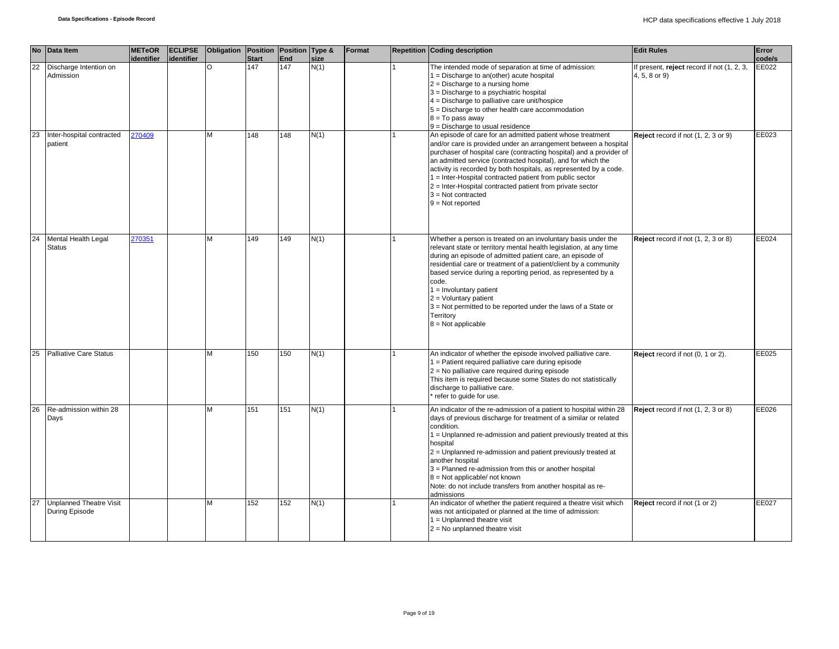|    | No Data Item                                     | <b>METeOR</b><br>identifier | identifier | <b>ECLIPSE</b> Obligation Position Position Type & | <b>Start</b> | End | size | Format | <b>Repetition Coding description</b>                                                                                                                                                                                                                                                                                                                                                                                                                                                                             | <b>Edit Rules</b>                                           | Error<br>code/s |
|----|--------------------------------------------------|-----------------------------|------------|----------------------------------------------------|--------------|-----|------|--------|------------------------------------------------------------------------------------------------------------------------------------------------------------------------------------------------------------------------------------------------------------------------------------------------------------------------------------------------------------------------------------------------------------------------------------------------------------------------------------------------------------------|-------------------------------------------------------------|-----------------|
| 22 | Discharge Intention on<br>Admission              |                             |            | $\overline{O}$                                     | 147          | 147 | N(1) |        | The intended mode of separation at time of admission:<br>$1 = Discharge$ to an(other) acute hospital<br>$2 =$ Discharge to a nursing home<br>3 = Discharge to a psychiatric hospital<br>$4 =$ Discharge to palliative care unit/hospice<br>5 = Discharge to other health care accommodation<br>$8 = To pass away$<br>$9$ = Discharge to usual residence                                                                                                                                                          | If present, reject record if not (1, 2, 3,<br>4, 5, 8 or 9) | EE022           |
| 23 | Inter-hospital contracted<br>patient             | 270409                      |            | M                                                  | 148          | 148 | N(1) |        | An episode of care for an admitted patient whose treatment<br>and/or care is provided under an arrangement between a hospital<br>purchaser of hospital care (contracting hospital) and a provider of<br>an admitted service (contracted hospital), and for which the<br>activity is recorded by both hospitals, as represented by a code.<br>1 = Inter-Hospital contracted patient from public sector<br>2 = Inter-Hospital contracted patient from private sector<br>$3 = Not contracted$<br>$9 = Not reported$ | Reject record if not (1, 2, 3 or 9)                         | EE023           |
| 24 | Mental Health Legal<br><b>Status</b>             | 270351                      |            | M                                                  | 149          | 149 | N(1) |        | Whether a person is treated on an involuntary basis under the<br>relevant state or territory mental health legislation, at any time<br>during an episode of admitted patient care, an episode of<br>residential care or treatment of a patient/client by a community<br>based service during a reporting period, as represented by a<br>code.<br>$1 =$ Involuntary patient<br>$2 =$ Voluntary patient<br>$3$ = Not permitted to be reported under the laws of a State or<br>Territory<br>$8 = Not applicable$    | Reject record if not (1, 2, 3 or 8)                         | EE024           |
| 25 | <b>Palliative Care Status</b>                    |                             |            | M                                                  | 150          | 150 | N(1) |        | An indicator of whether the episode involved palliative care.<br>$1 =$ Patient required palliative care during episode<br>$2$ = No palliative care required during episode<br>This item is required because some States do not statistically<br>discharge to palliative care.<br>refer to guide for use.                                                                                                                                                                                                         | Reject record if not (0, 1 or 2).                           | EE025           |
| 26 | Re-admission within 28<br>Days                   |                             |            | M                                                  | 151          | 151 | N(1) |        | An indicator of the re-admission of a patient to hospital within 28<br>days of previous discharge for treatment of a similar or related<br>condition.<br>1 = Unplanned re-admission and patient previously treated at this<br>hospital<br>2 = Unplanned re-admission and patient previously treated at<br>another hospital<br>3 = Planned re-admission from this or another hospital<br>$8 = Not applicable/not known$<br>Note: do not include transfers from another hospital as re-<br>admissions              | Reject record if not (1, 2, 3 or 8)                         | EE026           |
| 27 | <b>Unplanned Theatre Visit</b><br>During Episode |                             |            | M                                                  | 152          | 152 | N(1) |        | An indicator of whether the patient required a theatre visit which<br>was not anticipated or planned at the time of admission:<br>$1 =$ Unplanned theatre visit<br>$2 = No$ unplanned theatre visit                                                                                                                                                                                                                                                                                                              | Reject record if not (1 or 2)                               | EE027           |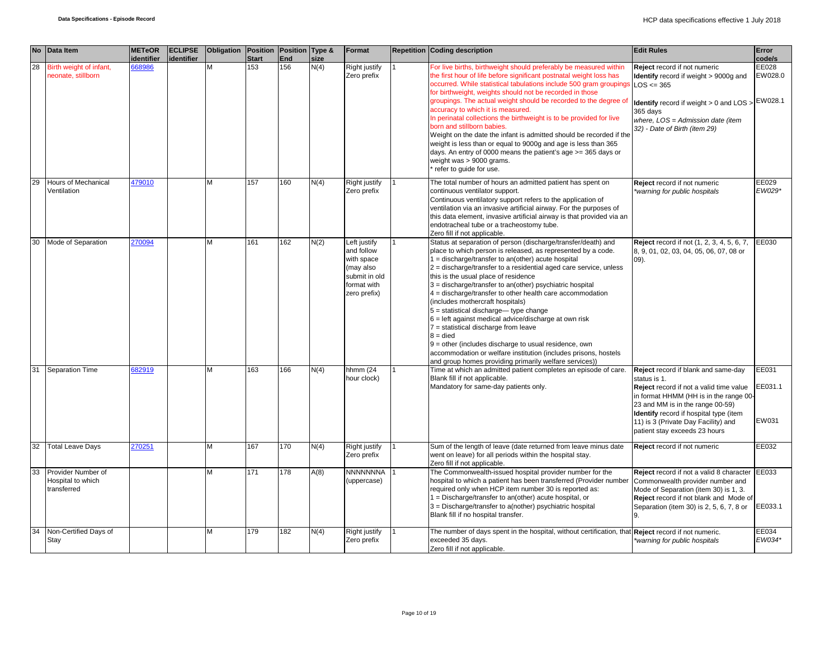|    | No Data Item                                           | <b>METeOR</b>               | <b>ECLIPSE</b> | Obligation   Position   Position   Type & |                     |            |              | Format                                                                                                | <b>Repetition Coding description</b>                                                                                                                                                                                                                                                                                                                                                                                                                                                                                                                                                                                                                                                                                                                                                                                         | <b>Edit Rules</b>                                                                                                                                                                                                                                                                              | Error                      |
|----|--------------------------------------------------------|-----------------------------|----------------|-------------------------------------------|---------------------|------------|--------------|-------------------------------------------------------------------------------------------------------|------------------------------------------------------------------------------------------------------------------------------------------------------------------------------------------------------------------------------------------------------------------------------------------------------------------------------------------------------------------------------------------------------------------------------------------------------------------------------------------------------------------------------------------------------------------------------------------------------------------------------------------------------------------------------------------------------------------------------------------------------------------------------------------------------------------------------|------------------------------------------------------------------------------------------------------------------------------------------------------------------------------------------------------------------------------------------------------------------------------------------------|----------------------------|
| 28 | Birth weight of infant,<br>neonate, stillborn          | <b>identifier</b><br>668986 | identifier     |                                           | <b>Start</b><br>153 | End<br>156 | size<br>N(4) | Right justify<br>Zero prefix                                                                          | For live births, birthweight should preferably be measured within<br>the first hour of life before significant postnatal weight loss has<br>occurred. While statistical tabulations include 500 gram groupings<br>for birthweight, weights should not be recorded in those<br>groupings. The actual weight should be recorded to the degree of<br>accuracy to which it is measured.<br>In perinatal collections the birthweight is to be provided for live<br>born and stillborn babies.<br>Weight on the date the infant is admitted should be recorded if the<br>weight is less than or equal to 9000g and age is less than 365<br>days. An entry of 0000 means the patient's age >= 365 days or<br>weight was > 9000 grams.<br>* refer to guide for use.                                                                  | Reject record if not numeric<br><b>Identify</b> record if weight > 9000g and<br>$LOS \le 365$<br>Identify record if weight > 0 and LOS > EW028.1<br>365 days<br>where, $LOS = Admission date (item)$<br>32) - Date of Birth (item 29)                                                          | code/s<br>EE028<br>EW028.0 |
| 29 | <b>Hours of Mechanical</b><br>Ventilation              | 479010                      |                | M                                         | 157                 | 160        | N(4)         | Right justify<br>Zero prefix                                                                          | The total number of hours an admitted patient has spent on<br>continuous ventilator support.<br>Continuous ventilatory support refers to the application of<br>ventilation via an invasive artificial airway. For the purposes of<br>this data element, invasive artificial airway is that provided via an<br>endotracheal tube or a tracheostomy tube.<br>Zero fill if not applicable.                                                                                                                                                                                                                                                                                                                                                                                                                                      | Reject record if not numeric<br>*warning for public hospitals                                                                                                                                                                                                                                  | EE029<br>EW029*            |
| 30 | Mode of Separation                                     | 270094                      |                | M                                         | 161                 | 162        | N(2)         | Left justify<br>and follow<br>with space<br>(may also<br>submit in old<br>format with<br>zero prefix) | Status at separation of person (discharge/transfer/death) and<br>place to which person is released, as represented by a code.<br>$1 =$ discharge/transfer to an(other) acute hospital<br>$2 =$ discharge/transfer to a residential aged care service, unless<br>this is the usual place of residence<br>$3 =$ discharge/transfer to an(other) psychiatric hospital<br>$4 =$ discharge/transfer to other health care accommodation<br>(includes mothercraft hospitals)<br>$5 =$ statistical discharge— type change<br>$6$ = left against medical advice/discharge at own risk<br>$7$ = statistical discharge from leave<br>$8 =$ died<br>$9$ = other (includes discharge to usual residence, own<br>accommodation or welfare institution (includes prisons, hostels<br>and group homes providing primarily welfare services)) | <b>Reject</b> record if not (1, 2, 3, 4, 5, 6, 7,<br>8, 9, 01, 02, 03, 04, 05, 06, 07, 08 or<br>09).                                                                                                                                                                                           | EE030                      |
| 31 | <b>Separation Time</b>                                 | 682919                      |                | м                                         | 163                 | 166        | N(4)         | hhmm (24<br>hour clock)                                                                               | Time at which an admitted patient completes an episode of care.<br>Blank fill if not applicable.<br>Mandatory for same-day patients only.                                                                                                                                                                                                                                                                                                                                                                                                                                                                                                                                                                                                                                                                                    | Reject record if blank and same-day<br>status is 1.<br>Reject record if not a valid time value<br>in format HHMM (HH is in the range 00-<br>23 and MM is in the range 00-59)<br>Identify record if hospital type (item<br>11) is 3 (Private Day Facility) and<br>patient stay exceeds 23 hours | EE031<br>EE031.1<br>EW031  |
| 32 | <b>Total Leave Days</b>                                | 270251                      |                | М                                         | 167                 | 170        | N(4)         | Right justify<br>Zero prefix                                                                          | Sum of the length of leave (date returned from leave minus date<br>went on leave) for all periods within the hospital stay.<br>Zero fill if not applicable.                                                                                                                                                                                                                                                                                                                                                                                                                                                                                                                                                                                                                                                                  | Reject record if not numeric                                                                                                                                                                                                                                                                   | EE032                      |
| 33 | Provider Number of<br>Hospital to which<br>transferred |                             |                | M                                         | 171                 | 178        | A(8)         | <b>NNNNNNNA</b><br>(uppercase)                                                                        | The Commonwealth-issued hospital provider number for the<br>hospital to which a patient has been transferred (Provider number<br>required only when HCP item number 30 is reported as:<br>$1 = Discharge/transfer$ to an(other) acute hospital, or<br>3 = Discharge/transfer to a(nother) psychiatric hospital<br>Blank fill if no hospital transfer.                                                                                                                                                                                                                                                                                                                                                                                                                                                                        | Reject record if not a valid 8 character EE033<br>Commonwealth provider number and<br>Mode of Separation (item 30) is 1, 3.<br>Reject record if not blank and Mode of<br>Separation (item 30) is 2, 5, 6, 7, 8 or<br>9.                                                                        | EE033.1                    |
| 34 | Non-Certified Days of<br>Stay                          |                             |                | M                                         | 179                 | 182        | N(4)         | Right justify<br>Zero prefix                                                                          | The number of days spent in the hospital, without certification, that Reject record if not numeric.<br>exceeded 35 days.<br>Zero fill if not applicable.                                                                                                                                                                                                                                                                                                                                                                                                                                                                                                                                                                                                                                                                     | *warning for public hospitals                                                                                                                                                                                                                                                                  | EE034<br>EW034*            |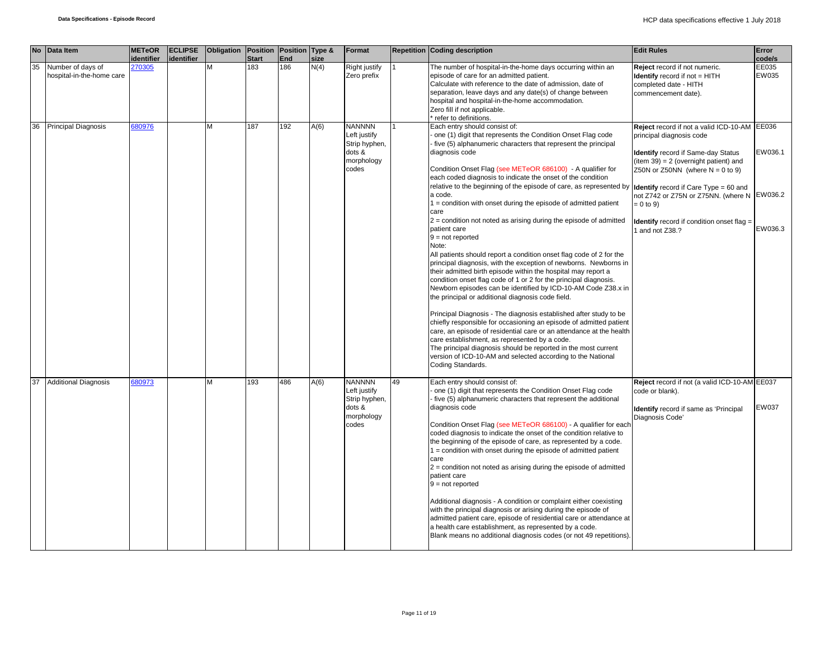|    | No Data Item                                   | <b>METeOR</b><br>identifier | <b>ECLIPSE</b><br>lidentifier | Obligation Position Position Type & | <b>Start</b> | End | size | Format                                                                          |    | <b>Repetition Coding description</b>                                                                                                                                                                                                                                                                                                                                                                                                                                                                                                                                                                                                                                                                                                                                                                                                                                                                                                                                                                                                                                                                                                                                                                                                                                                                                                                                                                                                                                        | <b>Edit Rules</b>                                                                                                                                                                                                                                                                                                                          | Error<br>code/s    |
|----|------------------------------------------------|-----------------------------|-------------------------------|-------------------------------------|--------------|-----|------|---------------------------------------------------------------------------------|----|-----------------------------------------------------------------------------------------------------------------------------------------------------------------------------------------------------------------------------------------------------------------------------------------------------------------------------------------------------------------------------------------------------------------------------------------------------------------------------------------------------------------------------------------------------------------------------------------------------------------------------------------------------------------------------------------------------------------------------------------------------------------------------------------------------------------------------------------------------------------------------------------------------------------------------------------------------------------------------------------------------------------------------------------------------------------------------------------------------------------------------------------------------------------------------------------------------------------------------------------------------------------------------------------------------------------------------------------------------------------------------------------------------------------------------------------------------------------------------|--------------------------------------------------------------------------------------------------------------------------------------------------------------------------------------------------------------------------------------------------------------------------------------------------------------------------------------------|--------------------|
| 35 | Number of days of<br>hospital-in-the-home care | 270305                      |                               | M                                   | 183          | 186 | N(4) | <b>Right justify</b><br>Zero prefix                                             |    | The number of hospital-in-the-home days occurring within an<br>episode of care for an admitted patient.<br>Calculate with reference to the date of admission, date of<br>separation, leave days and any date(s) of change between<br>hospital and hospital-in-the-home accommodation.<br>Zero fill if not applicable.<br>refer to definitions.                                                                                                                                                                                                                                                                                                                                                                                                                                                                                                                                                                                                                                                                                                                                                                                                                                                                                                                                                                                                                                                                                                                              | Reject record if not numeric.<br>Identify record if not = HITH<br>completed date - HITH<br>commencement date).                                                                                                                                                                                                                             | EE035<br>EW035     |
| 36 | <b>Principal Diagnosis</b>                     | 680976                      |                               | м                                   | 187          | 192 | A(6) | <b>NANNNN</b><br>Left justify<br>Strip hyphen,<br>dots &<br>morphology<br>codes |    | Each entry should consist of:<br>one (1) digit that represents the Condition Onset Flag code<br>five (5) alphanumeric characters that represent the principal<br>diagnosis code<br>Condition Onset Flag (see METeOR 686100) - A qualifier for<br>each coded diagnosis to indicate the onset of the condition<br>relative to the beginning of the episode of care, as represented by <b>Identify</b> record if Care Type = 60 and<br>a code.<br>1 = condition with onset during the episode of admitted patient<br>care<br>$2$ = condition not noted as arising during the episode of admitted<br>patient care<br>$9 = not reported$<br>Note:<br>All patients should report a condition onset flag code of 2 for the<br>principal diagnosis, with the exception of newborns. Newborns in<br>their admitted birth episode within the hospital may report a<br>condition onset flag code of 1 or 2 for the principal diagnosis.<br>Newborn episodes can be identified by ICD-10-AM Code Z38.x in<br>the principal or additional diagnosis code field.<br>Principal Diagnosis - The diagnosis established after study to be<br>chiefly responsible for occasioning an episode of admitted patient<br>care, an episode of residential care or an attendance at the health<br>care establishment, as represented by a code.<br>The principal diagnosis should be reported in the most current<br>version of ICD-10-AM and selected according to the National<br>Coding Standards. | Reject record if not a valid ICD-10-AM EE036<br>principal diagnosis code<br><b>Identify</b> record if Same-day Status<br>$item 39) = 2 (overnight patient)$ and<br>Z50N or Z50NN (where $N = 0$ to 9)<br>not Z742 or Z75N or Z75NN. (where N EW036.2<br>$= 0$ to 9)<br><b>Identify</b> record if condition onset flag =<br>1 and not Z38.? | EW036.1<br>EW036.3 |
|    | <b>Additional Diagnosis</b>                    | 680973                      |                               | M                                   | 193          | 486 | A(6) | <b>NANNNN</b><br>Left justify<br>Strip hyphen,<br>dots &<br>morphology<br>codes | 49 | Each entry should consist of:<br>one (1) digit that represents the Condition Onset Flag code<br>five (5) alphanumeric characters that represent the additional<br>diagnosis code<br>Condition Onset Flag (see METeOR 686100) - A qualifier for each<br>coded diagnosis to indicate the onset of the condition relative to<br>the beginning of the episode of care, as represented by a code.<br>$1 =$ condition with onset during the episode of admitted patient<br>care<br>$2$ = condition not noted as arising during the episode of admitted<br>patient care<br>$9 = not reported$<br>Additional diagnosis - A condition or complaint either coexisting<br>with the principal diagnosis or arising during the episode of<br>admitted patient care, episode of residential care or attendance at<br>a health care establishment, as represented by a code.<br>Blank means no additional diagnosis codes (or not 49 repetitions).                                                                                                                                                                                                                                                                                                                                                                                                                                                                                                                                         | Reject record if not (a valid ICD-10-AM EE037<br>code or blank).<br><b>Identify</b> record if same as 'Principal<br>Diagnosis Code'                                                                                                                                                                                                        | EW037              |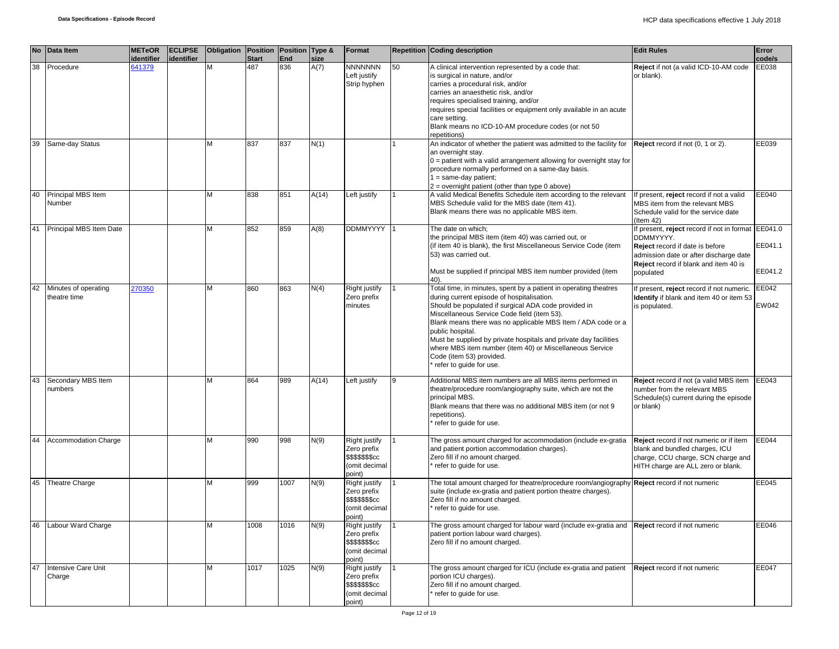|    | No Data Item                         | <b>METeOR</b><br>identifier | <b>ECLIPSE</b><br>identifier | Obligation Position Position Type & | <b>Start</b> | <b>End</b> | size  | Format                                                                             |    | <b>Repetition Coding description</b>                                                                                                                                                                                                                                                                                                                                                                                                                                                             | <b>Edit Rules</b>                                                                                                                                                                                         | Error<br>code/s    |
|----|--------------------------------------|-----------------------------|------------------------------|-------------------------------------|--------------|------------|-------|------------------------------------------------------------------------------------|----|--------------------------------------------------------------------------------------------------------------------------------------------------------------------------------------------------------------------------------------------------------------------------------------------------------------------------------------------------------------------------------------------------------------------------------------------------------------------------------------------------|-----------------------------------------------------------------------------------------------------------------------------------------------------------------------------------------------------------|--------------------|
| 38 | Procedure                            | 641379                      |                              | M                                   | 487          | 836        | A(7)  | <b>NNNNNNN</b><br>Left justify<br>Strip hyphen                                     | 50 | A clinical intervention represented by a code that:<br>is surgical in nature, and/or<br>carries a procedural risk, and/or<br>carries an anaesthetic risk, and/or<br>requires specialised training, and/or<br>requires special facilities or equipment only available in an acute<br>care setting.<br>Blank means no ICD-10-AM procedure codes (or not 50<br>repetitions)                                                                                                                         | Reject if not (a valid ICD-10-AM code<br>or blank).                                                                                                                                                       | EE038              |
| 39 | Same-day Status                      |                             |                              | М                                   | 837          | 837        | N(1)  |                                                                                    |    | An indicator of whether the patient was admitted to the facility for<br>an overnight stay.<br>$0 =$ patient with a valid arrangement allowing for overnight stay for<br>procedure normally performed on a same-day basis.<br>$1 = same-day patient;$<br>$2$ = overnight patient (other than type 0 above)                                                                                                                                                                                        | Reject record if not (0, 1 or 2).                                                                                                                                                                         | EE039              |
| 40 | Principal MBS Item<br>Number         |                             |                              | М                                   | 838          | 851        | A(14) | Left justify                                                                       |    | A valid Medical Benefits Schedule item according to the relevant<br>MBS Schedule valid for the MBS date (Item 41).<br>Blank means there was no applicable MBS item.                                                                                                                                                                                                                                                                                                                              | If present, reject record if not a valid<br>MBS item from the relevant MBS<br>Schedule valid for the service date<br>(Item 42)                                                                            | EE040              |
| 41 | Principal MBS Item Date              |                             |                              | М                                   | 852          | 859        | A(8)  | <b>DDMMYYYY</b>                                                                    |    | The date on which;<br>the principal MBS item (item 40) was carried out, or<br>(if item 40 is blank), the first Miscellaneous Service Code (item<br>53) was carried out.<br>Must be supplied if principal MBS item number provided (item                                                                                                                                                                                                                                                          | If present, reject record if not in format EE041.0<br>DDMMYYYY.<br>Reject record if date is before<br>admission date or after discharge date<br><b>Reject</b> record if blank and item 40 is<br>populated | EE041.1<br>EE041.2 |
| 42 | Minutes of operating<br>theatre time | 270350                      |                              | М                                   | 860          | 863        | N(4)  | Right justify<br>Zero prefix<br>minutes                                            |    | Total time, in minutes, spent by a patient in operating theatres<br>during current episode of hospitalisation.<br>Should be populated if surgical ADA code provided in<br>Miscellaneous Service Code field (item 53).<br>Blank means there was no applicable MBS Item / ADA code or a<br>public hospital.<br>Must be supplied by private hospitals and private day facilities<br>where MBS item number (item 40) or Miscellaneous Service<br>Code (item 53) provided.<br>refer to guide for use. | If present, reject record if not numeric.<br>Identify if blank and item 40 or item 53<br>is populated.                                                                                                    | EE042<br>EW042     |
| 43 | Secondary MBS Item<br>numbers        |                             |                              | М                                   | 864          | 989        | A(14) | Left justify                                                                       | 9  | Additional MBS item numbers are all MBS items performed in<br>theatre/procedure room/angiography suite, which are not the<br>principal MBS.<br>Blank means that there was no additional MBS item (or not 9<br>repetitions).<br>refer to guide for use.                                                                                                                                                                                                                                           | Reject record if not (a valid MBS item EE043<br>number from the relevant MBS<br>Schedule(s) current during the episode<br>or blank)                                                                       |                    |
| 44 | Accommodation Charge                 |                             |                              | м                                   | 990          | 998        | N(9)  | <b>Right justify</b><br>Zero prefix<br>\$\$\$\$\$\$\$cc<br>(omit decimal<br>point) |    | The gross amount charged for accommodation (include ex-gratia<br>and patient portion accommodation charges).<br>Zero fill if no amount charged.<br>refer to guide for use.                                                                                                                                                                                                                                                                                                                       | Reject record if not numeric or if item<br>blank and bundled charges, ICU<br>charge, CCU charge, SCN charge and<br>HITH charge are ALL zero or blank.                                                     | EE044              |
| 45 | <b>Theatre Charge</b>                |                             |                              | м                                   | 999          | 1007       | N(9)  | Right justify<br>Zero prefix<br>\$\$\$\$\$\$\$cc<br>(omit decimal<br>point)        |    | The total amount charged for theatre/procedure room/angiography Reject record if not numeric<br>suite (include ex-gratia and patient portion theatre charges).<br>Zero fill if no amount charged.<br>refer to guide for use.                                                                                                                                                                                                                                                                     |                                                                                                                                                                                                           | EE045              |
| 46 | Labour Ward Charge                   |                             |                              | М                                   | 1008         | 1016       | N(9)  | Right justify<br>Zero prefix<br>\$\$\$\$\$\$\$cc<br>(omit decimal<br>point)        |    | The gross amount charged for labour ward (include ex-gratia and Reject record if not numeric<br>patient portion labour ward charges).<br>Zero fill if no amount charged.                                                                                                                                                                                                                                                                                                                         |                                                                                                                                                                                                           | EE046              |
| 47 | Intensive Care Unit<br>Charge        |                             |                              | M                                   | 1017         | 1025       | N(9)  | Right justify<br>Zero prefix<br>\$\$\$\$\$\$\$cc<br>(omit decimal<br>point)        |    | The gross amount charged for ICU (include ex-gratia and patient<br>portion ICU charges).<br>Zero fill if no amount charged.<br>refer to guide for use.                                                                                                                                                                                                                                                                                                                                           | Reject record if not numeric                                                                                                                                                                              | EE047              |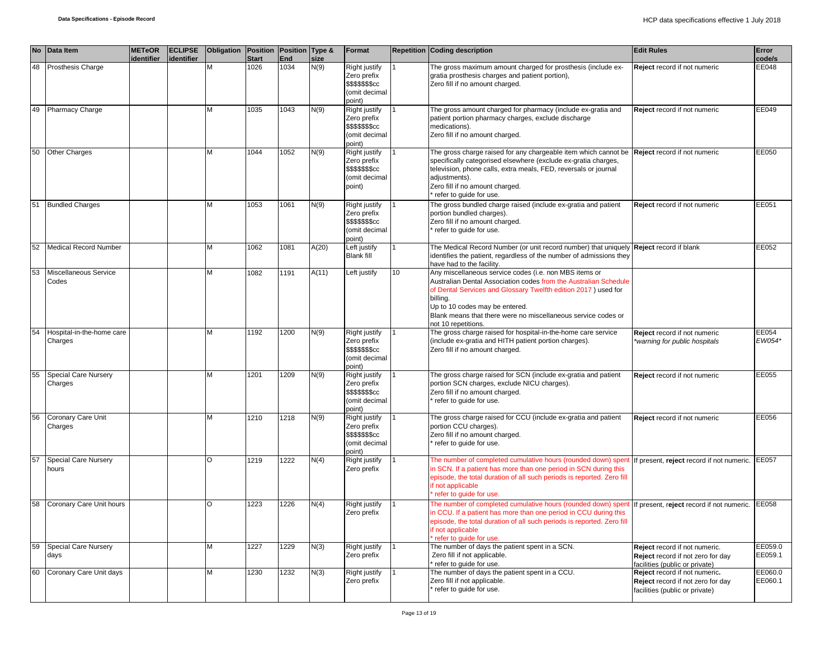| <b>No</b> | <b>Data Item</b>                     | <b>METeOR</b><br>identifier | <b>ECLIPSE</b><br>lidentifier | <b>Obligation</b> | Position<br><b>Start</b> | Position Type &<br>End | size  | Format                                                                      |    | <b>Repetition Coding description</b>                                                                                                                                                                                                                                                                                               | <b>Edit Rules</b>                                                                                    | Error<br>code/s    |
|-----------|--------------------------------------|-----------------------------|-------------------------------|-------------------|--------------------------|------------------------|-------|-----------------------------------------------------------------------------|----|------------------------------------------------------------------------------------------------------------------------------------------------------------------------------------------------------------------------------------------------------------------------------------------------------------------------------------|------------------------------------------------------------------------------------------------------|--------------------|
| 48        | Prosthesis Charge                    |                             |                               | M                 | 1026                     | 1034                   | N(9)  | Right justify<br>Zero prefix<br>\$\$\$\$\$\$\$cc<br>(omit decimal<br>point) |    | The gross maximum amount charged for prosthesis (include ex-<br>gratia prosthesis charges and patient portion),<br>Zero fill if no amount charged.                                                                                                                                                                                 | Reject record if not numeric                                                                         | EE048              |
| 49        | <b>Pharmacy Charge</b>               |                             |                               | M                 | 1035                     | 1043                   | N(9)  | Right justify<br>Zero prefix<br>\$\$\$\$\$\$\$cc<br>(omit decimal<br>point) |    | The gross amount charged for pharmacy (include ex-gratia and<br>patient portion pharmacy charges, exclude discharge<br>medications).<br>Zero fill if no amount charged.                                                                                                                                                            | Reject record if not numeric                                                                         | EE049              |
| 50        | Other Charges                        |                             |                               | M                 | 1044                     | 1052                   | N(9)  | Right justify<br>Zero prefix<br>\$\$\$\$\$\$\$cc<br>(omit decimal<br>point) |    | The gross charge raised for any chargeable item which cannot be<br>specifically categorised elsewhere (exclude ex-gratia charges,<br>television, phone calls, extra meals, FED, reversals or journal<br>adjustments).<br>Zero fill if no amount charged.<br>refer to guide for use.                                                | Reject record if not numeric                                                                         | EE050              |
| 51        | <b>Bundled Charges</b>               |                             |                               | м                 | 1053                     | 1061                   | N(9)  | Right justify<br>Zero prefix<br>\$\$\$\$\$\$\$cc<br>(omit decimal<br>point) |    | The gross bundled charge raised (include ex-gratia and patient<br>portion bundled charges).<br>Zero fill if no amount charged.<br>refer to guide for use.                                                                                                                                                                          | Reject record if not numeric                                                                         | EE051              |
| 52        | <b>Medical Record Number</b>         |                             |                               | M                 | 1062                     | 1081                   | A(20) | Left justify<br><b>Blank fill</b>                                           |    | The Medical Record Number (or unit record number) that uniquely<br>identifies the patient, regardless of the number of admissions they<br>have had to the facility.                                                                                                                                                                | <b>Reject</b> record if blank                                                                        | EE052              |
| 53        | Miscellaneous Service<br>Codes       |                             |                               | м                 | 1082                     | 1191                   | A(11) | Left justify                                                                | 10 | Any miscellaneous service codes (i.e. non MBS items or<br>Australian Dental Association codes from the Australian Schedule<br>of Dental Services and Glossary Twelfth edition 2017) used for<br>billing.<br>Up to 10 codes may be entered.<br>Blank means that there were no miscellaneous service codes or<br>not 10 repetitions. |                                                                                                      |                    |
| 54        | Hospital-in-the-home care<br>Charges |                             |                               | M                 | 1192                     | 1200                   | N(9)  | Right justify<br>Zero prefix<br>\$\$\$\$\$\$\$cc<br>(omit decimal<br>point) |    | The gross charge raised for hospital-in-the-home care service<br>(include ex-gratia and HITH patient portion charges).<br>Zero fill if no amount charged.                                                                                                                                                                          | Reject record if not numeric<br>warning for public hospitals*                                        | EE054<br>EW054*    |
| 55        | Special Care Nursery<br>Charges      |                             |                               | M                 | 1201                     | 1209                   | N(9)  | Right justify<br>Zero prefix<br>\$\$\$\$\$\$\$cc<br>(omit decimal<br>point) |    | The gross charge raised for SCN (include ex-gratia and patient<br>portion SCN charges, exclude NICU charges).<br>Zero fill if no amount charged.<br>refer to guide for use.                                                                                                                                                        | Reject record if not numeric                                                                         | EE055              |
| 56        | Coronary Care Unit<br>Charges        |                             |                               | M                 | 1210                     | 1218                   | N(9)  | Right justify<br>Zero prefix<br>\$\$\$\$\$\$\$cc<br>(omit decimal<br>point) |    | The gross charge raised for CCU (include ex-gratia and patient<br>portion CCU charges).<br>Zero fill if no amount charged.<br>refer to guide for use.                                                                                                                                                                              | Reject record if not numeric                                                                         | EE056              |
| 57        | <b>Special Care Nursery</b><br>hours |                             |                               | $\circ$           | 1219                     | 1222                   | N(4)  | Right justify<br>Zero prefix                                                |    | The number of completed cumulative hours (rounded down) spent<br>in SCN. If a patient has more than one period in SCN during this<br>episode, the total duration of all such periods is reported. Zero fill<br>if not applicable<br>refer to guide for use.                                                                        | f present, reject record if not numeric. EE057                                                       |                    |
| 58        | Coronary Care Unit hours             |                             |                               | $\Omega$          | 1223                     | 1226                   | N(4)  | Right justify<br>Zero prefix                                                |    | The number of completed cumulative hours (rounded down) spent<br>in CCU. If a patient has more than one period in CCU during this<br>episode, the total duration of all such periods is reported. Zero fill<br>if not applicable<br>refer to quide for use.                                                                        | f present, reject record if not numeric.                                                             | EE058              |
| 59        | <b>Special Care Nursery</b><br>days  |                             |                               | M                 | 1227                     | 1229                   | N(3)  | Right justify<br>Zero prefix                                                | 1  | The number of days the patient spent in a SCN.<br>Zero fill if not applicable.<br>refer to guide for use.                                                                                                                                                                                                                          | Reject record if not numeric.<br>Reject record if not zero for day<br>facilities (public or private) | EE059.0<br>EE059.1 |
| 60        | Coronary Care Unit days              |                             |                               | M                 | 1230                     | 1232                   | N(3)  | Right justify<br>Zero prefix                                                |    | The number of days the patient spent in a CCU.<br>Zero fill if not applicable.<br>refer to guide for use.                                                                                                                                                                                                                          | Reject record if not numeric.<br>Reject record if not zero for day<br>facilities (public or private) | EE060.0<br>EE060.1 |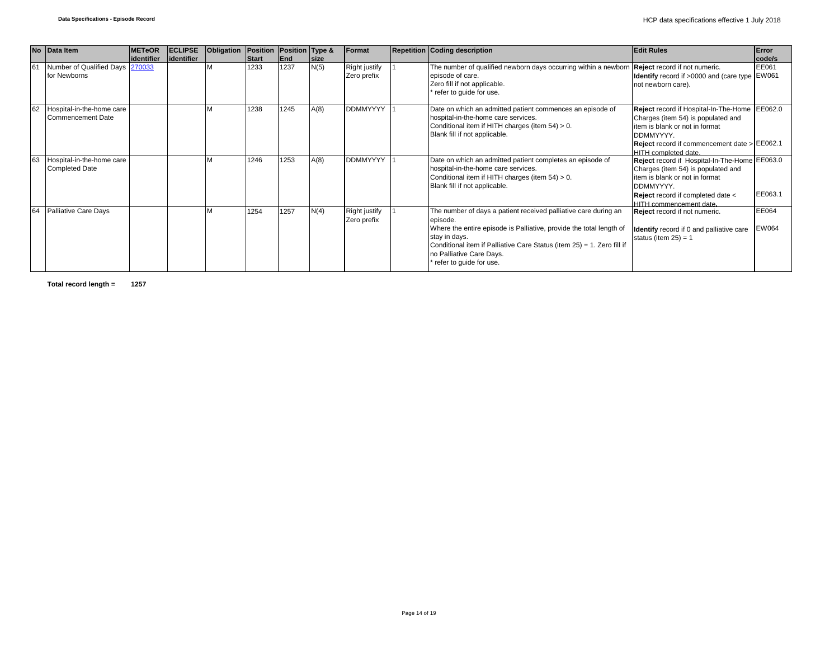|    | No Data Item                                          | <b>METeOR</b> | <b>ECLIPSE</b> | Obligation   Position   Position   Type & |              |      |              | Format                              | <b>Repetition Coding description</b>                                                                                                                                                                                                                                                                 | <b>Edit Rules</b>                                                                                                                                                                                                   | Error                 |
|----|-------------------------------------------------------|---------------|----------------|-------------------------------------------|--------------|------|--------------|-------------------------------------|------------------------------------------------------------------------------------------------------------------------------------------------------------------------------------------------------------------------------------------------------------------------------------------------------|---------------------------------------------------------------------------------------------------------------------------------------------------------------------------------------------------------------------|-----------------------|
|    |                                                       | lidentifier   | identifier     |                                           | <b>Start</b> | End  | <b>Isize</b> |                                     |                                                                                                                                                                                                                                                                                                      |                                                                                                                                                                                                                     | code/s                |
| 61 | Number of Qualified Days 270033<br>for Newborns       |               |                |                                           | 1233         | 1237 | N(5)         | <b>Right justify</b><br>Zero prefix | The number of qualified newborn days occurring within a newborn Reject record if not numeric.<br>episode of care.<br>Zero fill if not applicable.<br>refer to guide for use.                                                                                                                         | Identify record if >0000 and (care type EW061<br>not newborn care).                                                                                                                                                 | EE061                 |
| 62 | Hospital-in-the-home care<br><b>Commencement Date</b> |               |                | M                                         | 1238         | 1245 | A(8)         | <b>DDMMYYYY</b>                     | Date on which an admitted patient commences an episode of<br>hospital-in-the-home care services.<br>Conditional item if HITH charges (item 54) > 0.<br>Blank fill if not applicable.                                                                                                                 | Reject record if Hospital-In-The-Home EE062.0<br>Charges (item 54) is populated and<br>item is blank or not in format<br>DDMMYYYY.<br><b>Reject</b> record if commencement date $>$ EE062.1<br>HITH completed date. |                       |
| 63 | Hospital-in-the-home care<br><b>Completed Date</b>    |               |                |                                           | 1246         | 1253 | A(8)         | <b>DDMMYYYY</b>                     | Date on which an admitted patient completes an episode of<br>hospital-in-the-home care services.<br>Conditional item if HITH charges (item 54) > 0.<br>Blank fill if not applicable.                                                                                                                 | Reject record if Hospital-In-The-Home EE063.0<br>Charges (item 54) is populated and<br>item is blank or not in format<br>DDMMYYYY.<br>Reject record if completed date <<br>HITH commencement date.                  | EE063.1               |
| 64 | Palliative Care Days                                  |               |                |                                           | 1254         | 1257 | N(4)         | <b>Right justify</b><br>Zero prefix | The number of days a patient received palliative care during an<br>episode.<br>Where the entire episode is Palliative, provide the total length of<br>stay in days.<br>Conditional item if Palliative Care Status (item 25) = 1. Zero fill if<br>no Palliative Care Days.<br>refer to guide for use. | Reject record if not numeric.<br>Identify record if 0 and palliative care<br>status (item $25$ ) = 1                                                                                                                | EE064<br><b>EW064</b> |

**Total record length = 1257**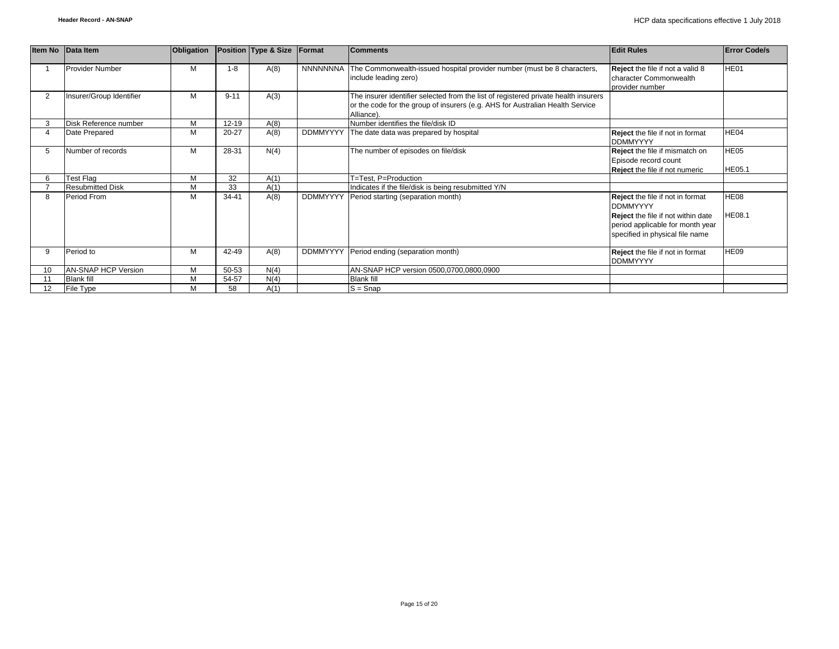|                 | Item No Data Item          | Obligation |           | Position Type & Size | Format          | <b>Comments</b>                                                                                                                                                                    | <b>Edit Rules</b>                                                                                | <b>Error Code/s</b>          |
|-----------------|----------------------------|------------|-----------|----------------------|-----------------|------------------------------------------------------------------------------------------------------------------------------------------------------------------------------------|--------------------------------------------------------------------------------------------------|------------------------------|
|                 | <b>Provider Number</b>     | M          | $1 - 8$   | A(8)                 | <b>NNNNNNNA</b> | The Commonwealth-issued hospital provider number (must be 8 characters,<br>include leading zero)                                                                                   | Reject the file if not a valid 8<br>character Commonwealth<br>provider number                    | HE01                         |
| $\overline{2}$  | Insurer/Group Identifier   | M          | $9 - 11$  | A(3)                 |                 | The insurer identifier selected from the list of registered private health insurers<br>or the code for the group of insurers (e.g. AHS for Australian Health Service<br>Alliance). |                                                                                                  |                              |
|                 | Disk Reference number      | M          | 12-19     | A(8)                 |                 | Number identifies the file/disk ID                                                                                                                                                 |                                                                                                  |                              |
|                 | Date Prepared              | M          | $20 - 27$ | A(8)                 |                 | DDMMYYYY The date data was prepared by hospital                                                                                                                                    | Reject the file if not in format<br><b>DDMMYYYY</b>                                              | HE04                         |
| 5               | Number of records          | M          | 28-31     | N(4)                 |                 | The number of episodes on file/disk                                                                                                                                                | Reject the file if mismatch on<br>Episode record count<br><b>Reject</b> the file if not numeric  | HE05<br><b>HE05.1</b>        |
| 6               | <b>Test Flag</b>           | M          | 32        | A(1)                 |                 | T=Test, P=Production                                                                                                                                                               |                                                                                                  |                              |
|                 | <b>Resubmitted Disk</b>    | M          | 33        | A(1)                 |                 | Indicates if the file/disk is being resubmitted Y/N                                                                                                                                |                                                                                                  |                              |
| 8               | Period From                | M          | $34 - 41$ | A(8)                 | <b>DDMMYYYY</b> | Period starting (separation month)                                                                                                                                                 | Reject the file if not in format<br><b>DDMMYYYY</b><br><b>Reject</b> the file if not within date | <b>HE08</b><br><b>HE08.1</b> |
|                 |                            |            |           |                      |                 |                                                                                                                                                                                    | period applicable for month year<br>specified in physical file name                              |                              |
| 9               | Period to                  | M          | 42-49     | A(8)                 | <b>DDMMYYYY</b> | Period ending (separation month)                                                                                                                                                   | Reject the file if not in format<br><b>DDMMYYYY</b>                                              | HE09                         |
| 10              | <b>AN-SNAP HCP Version</b> | M          | 50-53     | N(4)                 |                 | AN-SNAP HCP version 0500,0700,0800,0900                                                                                                                                            |                                                                                                  |                              |
|                 | <b>Blank fill</b>          | M          | 54-57     | N(4)                 |                 | <b>Blank fill</b>                                                                                                                                                                  |                                                                                                  |                              |
| 12 <sup>2</sup> | File Type                  | M          | 58        | A(1)                 |                 | $S =$ Snap                                                                                                                                                                         |                                                                                                  |                              |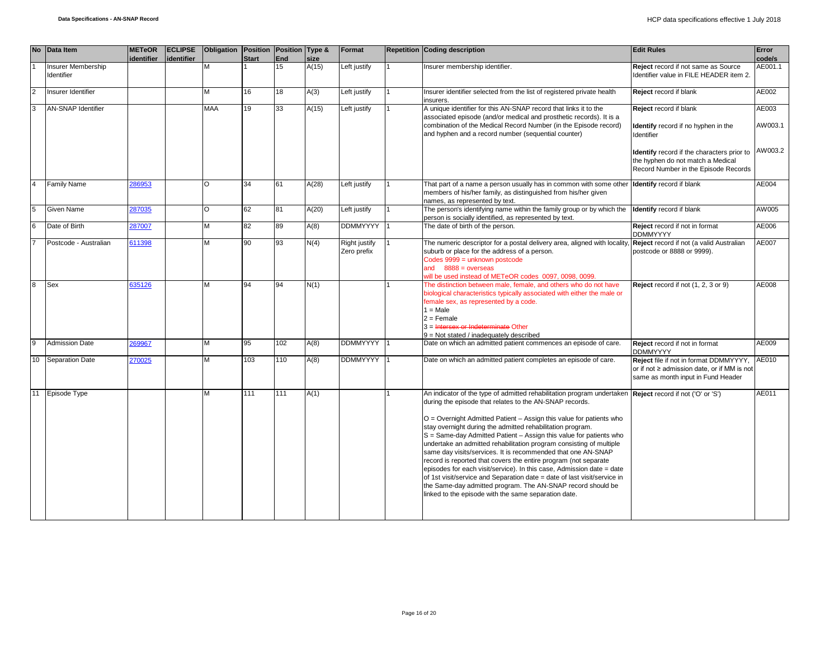|              |    | No Data Item                     | <b>METeOR</b> | <b>ECLIPSE</b> | Obligation Position |              | Position Type & |       | Format                       | <b>Repetition Coding description</b>                                                                                                                                                                                                                                                                                                                                                                                                                                                                                                                                                                                                                                                                                                                                                                                                                                 | <b>Edit Rules</b>                                                                                                           | Error            |
|--------------|----|----------------------------------|---------------|----------------|---------------------|--------------|-----------------|-------|------------------------------|----------------------------------------------------------------------------------------------------------------------------------------------------------------------------------------------------------------------------------------------------------------------------------------------------------------------------------------------------------------------------------------------------------------------------------------------------------------------------------------------------------------------------------------------------------------------------------------------------------------------------------------------------------------------------------------------------------------------------------------------------------------------------------------------------------------------------------------------------------------------|-----------------------------------------------------------------------------------------------------------------------------|------------------|
|              |    |                                  | identifier    | lidentifier    |                     | <b>Start</b> | End             | size  |                              |                                                                                                                                                                                                                                                                                                                                                                                                                                                                                                                                                                                                                                                                                                                                                                                                                                                                      |                                                                                                                             | code/s           |
|              |    | Insurer Membership<br>Identifier |               |                | М                   |              | 15              | A(15) | Left justify                 | nsurer membership identifier.                                                                                                                                                                                                                                                                                                                                                                                                                                                                                                                                                                                                                                                                                                                                                                                                                                        | Reject record if not same as Source<br>Identifier value in FILE HEADER item 2.                                              | AE001.1          |
| <b>2</b>     |    | Insurer Identifier               |               |                | M                   | 16           | 18              | A(3)  | Left justify                 | Insurer identifier selected from the list of registered private health<br>insurers.                                                                                                                                                                                                                                                                                                                                                                                                                                                                                                                                                                                                                                                                                                                                                                                  | Reject record if blank                                                                                                      | AE002            |
|              |    | <b>AN-SNAP Identifier</b>        |               |                | MAA                 | 19           | 33              | A(15) | Left justify                 | A unique identifier for this AN-SNAP record that links it to the<br>associated episode (and/or medical and prosthetic records). It is a<br>combination of the Medical Record Number (in the Episode record)<br>and hyphen and a record number (sequential counter)                                                                                                                                                                                                                                                                                                                                                                                                                                                                                                                                                                                                   | Reject record if blank<br>Identify record if no hyphen in the<br>Identifier                                                 | AE003<br>AW003.1 |
|              |    |                                  |               |                |                     |              |                 |       |                              |                                                                                                                                                                                                                                                                                                                                                                                                                                                                                                                                                                                                                                                                                                                                                                                                                                                                      | Identify record if the characters prior to<br>the hyphen do not match a Medical<br>Record Number in the Episode Records     | AW003.2          |
|              |    | <b>Family Name</b>               | 286953        |                | O                   | 34           | 61              | A(28) | Left justify                 | That part of a name a person usually has in common with some other<br>members of his/her family, as distinguished from his/her given<br>names, as represented by text.                                                                                                                                                                                                                                                                                                                                                                                                                                                                                                                                                                                                                                                                                               | <b>Identify</b> record if blank                                                                                             | AE004            |
| 5            |    | <b>Given Name</b>                | 287035        |                | O                   | 62           | 81              | A(20) | Left justify                 | The person's identifying name within the family group or by which the<br>person is socially identified, as represented by text.                                                                                                                                                                                                                                                                                                                                                                                                                                                                                                                                                                                                                                                                                                                                      | <b>Identify</b> record if blank                                                                                             | AW005            |
|              |    | Date of Birth                    | 287007        |                | M                   | 82           | 89              | A(8)  | <b>DDMMYYYY</b>              | The date of birth of the person.                                                                                                                                                                                                                                                                                                                                                                                                                                                                                                                                                                                                                                                                                                                                                                                                                                     | Reject record if not in format<br><b>DDMMYYYY</b>                                                                           | AE006            |
|              |    | Postcode - Australian            | 611398        |                | M                   | 90           | 93              | N(4)  | Right justify<br>Zero prefix | The numeric descriptor for a postal delivery area, aligned with locality,<br>suburb or place for the address of a person.<br>Codes 9999 = unknown postcode<br>and $8888 = 0$ verseas<br>will be used instead of METeOR codes 0097, 0098, 0099.                                                                                                                                                                                                                                                                                                                                                                                                                                                                                                                                                                                                                       | Reject record if not (a valid Australian<br>postcode or 8888 or 9999).                                                      | AE007            |
| $\mathbf{R}$ |    | Sex                              | 635126        |                | M                   | 94           | 94              | N(1)  |                              | The distinction between male, female, and others who do not have<br>biological characteristics typically associated with either the male or<br>female sex, as represented by a code.<br>$1 = Male$<br>$2 =$ Female<br>3 = Intersex or Indeterminate Other<br>$9 = Not stated / inadequately described$                                                                                                                                                                                                                                                                                                                                                                                                                                                                                                                                                               | Reject record if not (1, 2, 3 or 9)                                                                                         | AE008            |
| 9            |    | <b>Admission Date</b>            | 269967        |                | M                   | 95           | 102             | A(8)  | <b>DDMMYYYY</b>              | Date on which an admitted patient commences an episode of care.                                                                                                                                                                                                                                                                                                                                                                                                                                                                                                                                                                                                                                                                                                                                                                                                      | Reject record if not in format<br><b>DDMMYYYY</b>                                                                           | AE009            |
|              | 10 | <b>Separation Date</b>           | 270025        |                | M                   | 103          | 110             | A(8)  | <b>DDMMYYYY</b>              | Date on which an admitted patient completes an episode of care.                                                                                                                                                                                                                                                                                                                                                                                                                                                                                                                                                                                                                                                                                                                                                                                                      | Reject file if not in format DDMMYYYY,<br>or if not ≥ admission date, or if MM is not<br>same as month input in Fund Header | AE010            |
|              |    | 11 Episode Type                  |               |                | M                   | 111          | 111             | A(1)  |                              | An indicator of the type of admitted rehabilitation program undertaken Reject record if not ('O' or 'S')<br>during the episode that relates to the AN-SNAP records.<br>O = Overnight Admitted Patient - Assign this value for patients who<br>stay overnight during the admitted rehabilitation program.<br>S = Same-day Admitted Patient - Assign this value for patients who<br>undertake an admitted rehabilitation program consisting of multiple<br>same day visits/services. It is recommended that one AN-SNAP<br>record is reported that covers the entire program (not separate<br>episodes for each visit/service). In this case, Admission date = date<br>of 1st visit/service and Separation date = date of last visit/service in<br>the Same-day admitted program. The AN-SNAP record should be<br>linked to the episode with the same separation date. |                                                                                                                             | AE011            |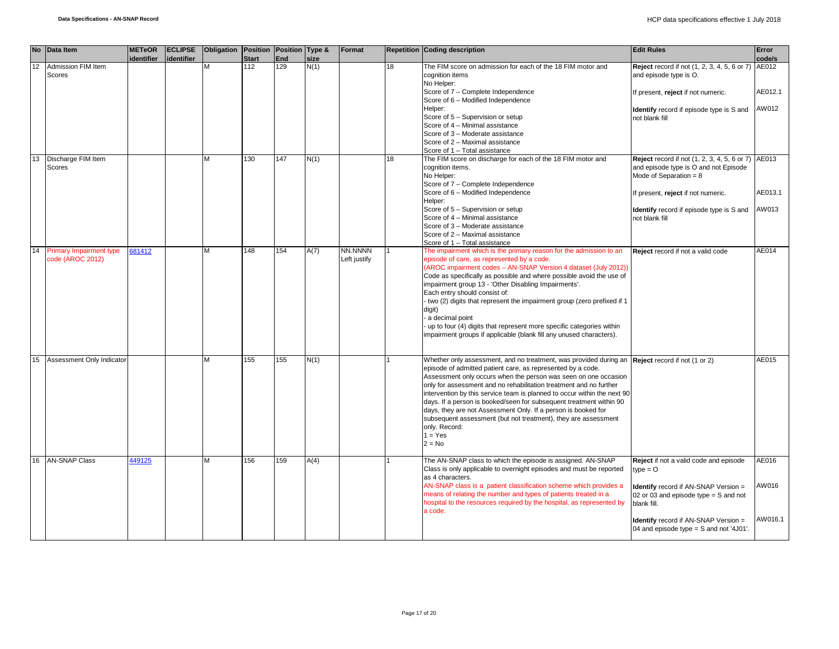|    | No Data Item                                       | <b>METeOR</b> | <b>ECLIPSE</b> | Obligation   Position   Position   Type & |                     |                   |              | Format       |    | <b>Repetition Coding description</b>                                                                             | <b>Edit Rules</b>                                         | Error   |
|----|----------------------------------------------------|---------------|----------------|-------------------------------------------|---------------------|-------------------|--------------|--------------|----|------------------------------------------------------------------------------------------------------------------|-----------------------------------------------------------|---------|
| 12 | Admission FIM Item                                 | identifier    | identifier     | M                                         | <b>Start</b><br>112 | <b>End</b><br>129 | size<br>N(1) |              | 18 | The FIM score on admission for each of the 18 FIM motor and                                                      | <b>Reject</b> record if not (1, 2, 3, 4, 5, 6 or 7) AE012 | code/s  |
|    | Scores                                             |               |                |                                           |                     |                   |              |              |    | cognition items<br>No Helper:                                                                                    | and episode type is O.                                    |         |
|    |                                                    |               |                |                                           |                     |                   |              |              |    | Score of 7 - Complete Independence<br>Score of 6 - Modified Independence                                         | If present, reject if not numeric.                        | AE012.1 |
|    |                                                    |               |                |                                           |                     |                   |              |              |    | Helper:                                                                                                          |                                                           | AW012   |
|    |                                                    |               |                |                                           |                     |                   |              |              |    | Score of 5 - Supervision or setup                                                                                | Identify record if episode type is S and                  |         |
|    |                                                    |               |                |                                           |                     |                   |              |              |    | Score of 4 - Minimal assistance                                                                                  | not blank fill                                            |         |
|    |                                                    |               |                |                                           |                     |                   |              |              |    | Score of 3 - Moderate assistance                                                                                 |                                                           |         |
|    |                                                    |               |                |                                           |                     |                   |              |              |    | Score of 2 - Maximal assistance                                                                                  |                                                           |         |
|    |                                                    |               |                |                                           |                     |                   |              |              |    | Score of 1 - Total assistance                                                                                    |                                                           |         |
| 13 | Discharge FIM Item                                 |               |                | M                                         | 130                 | 147               | N(1)         |              | 18 | The FIM score on discharge for each of the 18 FIM motor and                                                      | <b>Reject</b> record if not (1, 2, 3, 4, 5, 6 or 7)       | AE013   |
|    | Scores                                             |               |                |                                           |                     |                   |              |              |    | cognition items.                                                                                                 | and episode type is O and not Episode                     |         |
|    |                                                    |               |                |                                           |                     |                   |              |              |    | No Helper:                                                                                                       | Mode of Separation = $8$                                  |         |
|    |                                                    |               |                |                                           |                     |                   |              |              |    | Score of 7 - Complete Independence                                                                               |                                                           |         |
|    |                                                    |               |                |                                           |                     |                   |              |              |    | Score of 6 - Modified Independence                                                                               | If present, reject if not numeric.                        | AE013.1 |
|    |                                                    |               |                |                                           |                     |                   |              |              |    | Helper:                                                                                                          |                                                           |         |
|    |                                                    |               |                |                                           |                     |                   |              |              |    | Score of 5 - Supervision or setup                                                                                | Identify record if episode type is S and                  | AW013   |
|    |                                                    |               |                |                                           |                     |                   |              |              |    | Score of 4 - Minimal assistance                                                                                  | not blank fill                                            |         |
|    |                                                    |               |                |                                           |                     |                   |              |              |    | Score of 3 - Moderate assistance                                                                                 |                                                           |         |
|    |                                                    |               |                |                                           |                     |                   |              |              |    | Score of 2 - Maximal assistance                                                                                  |                                                           |         |
|    |                                                    | 81412         |                | M                                         | 148                 | 154               |              | NN.NNNN      |    | Score of 1 - Total assistance                                                                                    |                                                           | AE014   |
| 14 | <b>Primary Impairment type</b><br>code (AROC 2012) |               |                |                                           |                     |                   | A(7)         |              |    | The impairment which is the primary reason for the admission to an<br>episode of care, as represented by a code. | Reject record if not a valid code                         |         |
|    |                                                    |               |                |                                           |                     |                   |              | Left justify |    | (AROC impairment codes - AN-SNAP Version 4 dataset (July 2012))                                                  |                                                           |         |
|    |                                                    |               |                |                                           |                     |                   |              |              |    | Code as specifically as possible and where possible avoid the use of                                             |                                                           |         |
|    |                                                    |               |                |                                           |                     |                   |              |              |    | impairment group 13 - 'Other Disabling Impairments'.                                                             |                                                           |         |
|    |                                                    |               |                |                                           |                     |                   |              |              |    | Each entry should consist of:                                                                                    |                                                           |         |
|    |                                                    |               |                |                                           |                     |                   |              |              |    | two (2) digits that represent the impairment group (zero prefixed if 1                                           |                                                           |         |
|    |                                                    |               |                |                                           |                     |                   |              |              |    | digit)                                                                                                           |                                                           |         |
|    |                                                    |               |                |                                           |                     |                   |              |              |    | a decimal point                                                                                                  |                                                           |         |
|    |                                                    |               |                |                                           |                     |                   |              |              |    | up to four (4) digits that represent more specific categories within                                             |                                                           |         |
|    |                                                    |               |                |                                           |                     |                   |              |              |    | impairment groups if applicable (blank fill any unused characters).                                              |                                                           |         |
|    |                                                    |               |                |                                           |                     |                   |              |              |    |                                                                                                                  |                                                           |         |
|    |                                                    |               |                |                                           |                     |                   |              |              |    |                                                                                                                  |                                                           |         |
| 15 | Assessment Only Indicator                          |               |                | M                                         | 155                 | 155               | N(1)         |              |    | Whether only assessment, and no treatment, was provided during an Reject record if not (1 or 2)                  |                                                           | AE015   |
|    |                                                    |               |                |                                           |                     |                   |              |              |    | episode of admitted patient care, as represented by a code.                                                      |                                                           |         |
|    |                                                    |               |                |                                           |                     |                   |              |              |    | Assessment only occurs when the person was seen on one occasion                                                  |                                                           |         |
|    |                                                    |               |                |                                           |                     |                   |              |              |    | only for assessment and no rehabilitation treatment and no further                                               |                                                           |         |
|    |                                                    |               |                |                                           |                     |                   |              |              |    | intervention by this service team is planned to occur within the next 90                                         |                                                           |         |
|    |                                                    |               |                |                                           |                     |                   |              |              |    | days. If a person is booked/seen for subsequent treatment within 90                                              |                                                           |         |
|    |                                                    |               |                |                                           |                     |                   |              |              |    | days, they are not Assessment Only. If a person is booked for                                                    |                                                           |         |
|    |                                                    |               |                |                                           |                     |                   |              |              |    | subsequent assessment (but not treatment), they are assessment                                                   |                                                           |         |
|    |                                                    |               |                |                                           |                     |                   |              |              |    | only. Record:                                                                                                    |                                                           |         |
|    |                                                    |               |                |                                           |                     |                   |              |              |    | $1 = Yes$                                                                                                        |                                                           |         |
|    |                                                    |               |                |                                           |                     |                   |              |              |    | $2 = No$                                                                                                         |                                                           |         |
| 16 | <b>AN-SNAP Class</b>                               | 449125        |                | M                                         | 156                 | 159               | A(4)         |              |    | The AN-SNAP class to which the episode is assigned. AN-SNAP                                                      | Reject if not a valid code and episode                    | AE016   |
|    |                                                    |               |                |                                           |                     |                   |              |              |    | Class is only applicable to overnight episodes and must be reported                                              | $type = O$                                                |         |
|    |                                                    |               |                |                                           |                     |                   |              |              |    | as 4 characters.                                                                                                 |                                                           |         |
|    |                                                    |               |                |                                           |                     |                   |              |              |    | AN-SNAP class is a patient classification scheme which provides a                                                | <b>Identify</b> record if AN-SNAP Version =               | AW016   |
|    |                                                    |               |                |                                           |                     |                   |              |              |    | means of relating the number and types of patients treated in a                                                  | 02 or 03 and episode type = $S$ and not                   |         |
|    |                                                    |               |                |                                           |                     |                   |              |              |    | hospital to the resources required by the hospital, as represented by                                            | blank fill.                                               |         |
|    |                                                    |               |                |                                           |                     |                   |              |              |    | a code.                                                                                                          |                                                           |         |
|    |                                                    |               |                |                                           |                     |                   |              |              |    |                                                                                                                  | <b>Identify</b> record if AN-SNAP Version =               | AW016.1 |
|    |                                                    |               |                |                                           |                     |                   |              |              |    |                                                                                                                  | 04 and episode type = S and not '4J01'.                   |         |
|    |                                                    |               |                |                                           |                     |                   |              |              |    |                                                                                                                  |                                                           |         |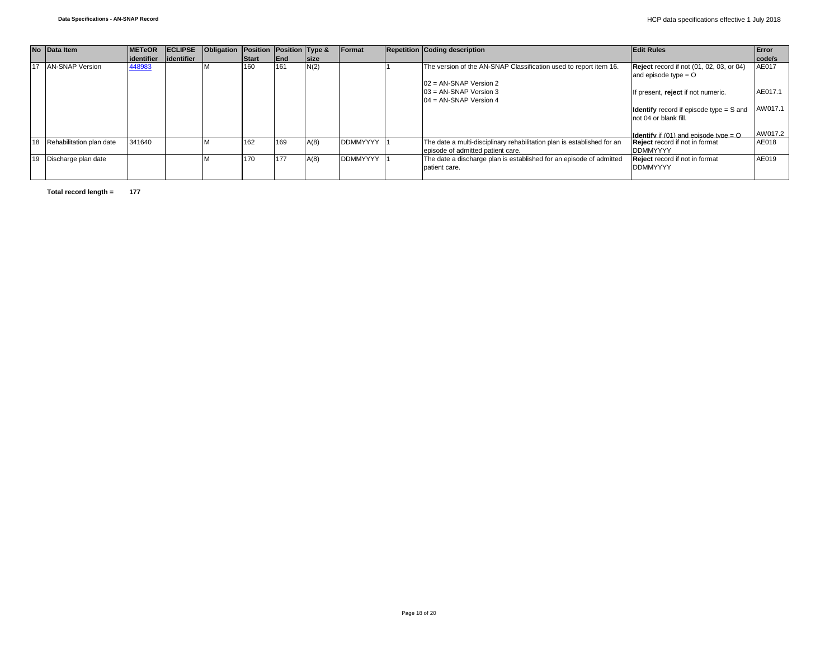|    |    | No Data Item                | <b>METeOR</b> | <b>IECLIPSE</b> | Obligation Position Position Type & |              |             |             | <b>IFormat</b>  | <b>Repetition Coding description</b>                                    | <b>Edit Rules</b>                                   | Error   |
|----|----|-----------------------------|---------------|-----------------|-------------------------------------|--------------|-------------|-------------|-----------------|-------------------------------------------------------------------------|-----------------------------------------------------|---------|
|    |    |                             | lidentifier   | lidentifier     |                                     | <b>Start</b> | <b>IEnd</b> | <b>Size</b> |                 |                                                                         |                                                     | code/s  |
| 17 |    | <b>AN-SNAP Version</b>      | 448983        |                 |                                     | 160          | 161         | N(2)        |                 | The version of the AN-SNAP Classification used to report item 16.       | <b>Reject</b> record if not (01, 02, 03, or 04)     | AE017   |
|    |    |                             |               |                 |                                     |              |             |             |                 |                                                                         | and episode type $=$ $\circ$                        |         |
|    |    |                             |               |                 |                                     |              |             |             |                 | $02 = AN-SNAP$ Version 2                                                |                                                     |         |
|    |    |                             |               |                 |                                     |              |             |             |                 | $03 = AN-SNAP$ Version 3                                                | If present, reject if not numeric.                  | AE017.1 |
|    |    |                             |               |                 |                                     |              |             |             |                 | $104 = AN-SNAP Version 4$                                               |                                                     |         |
|    |    |                             |               |                 |                                     |              |             |             |                 |                                                                         | <b>Identify</b> record if episode type = S and      | AW017.1 |
|    |    |                             |               |                 |                                     |              |             |             |                 |                                                                         | not 04 or blank fill.                               |         |
|    |    |                             |               |                 |                                     |              |             |             |                 |                                                                         |                                                     |         |
|    |    |                             |               |                 |                                     |              |             |             |                 |                                                                         | <b>Identify</b> if (01) and episode type = $\Omega$ | AW017.2 |
|    |    | 18 Rehabilitation plan date | 341640        |                 |                                     | 162          | 169         | A(8)        | <b>DDMMYYYY</b> | The date a multi-disciplinary rehabilitation plan is established for an | <b>Reject</b> record if not in format               | AE018   |
|    |    |                             |               |                 |                                     |              |             |             |                 | episode of admitted patient care.                                       | <b>DDMMYYYY</b>                                     |         |
|    | 19 | Discharge plan date         |               |                 |                                     | 170          | 177         | A(8)        | <b>DDMMYYYY</b> | The date a discharge plan is established for an episode of admitted     | <b>Reject</b> record if not in format               | AE019   |
|    |    |                             |               |                 |                                     |              |             |             |                 | patient care.                                                           | <b>DDMMYYYY</b>                                     |         |
|    |    |                             |               |                 |                                     |              |             |             |                 |                                                                         |                                                     |         |

**Total record length = 177**